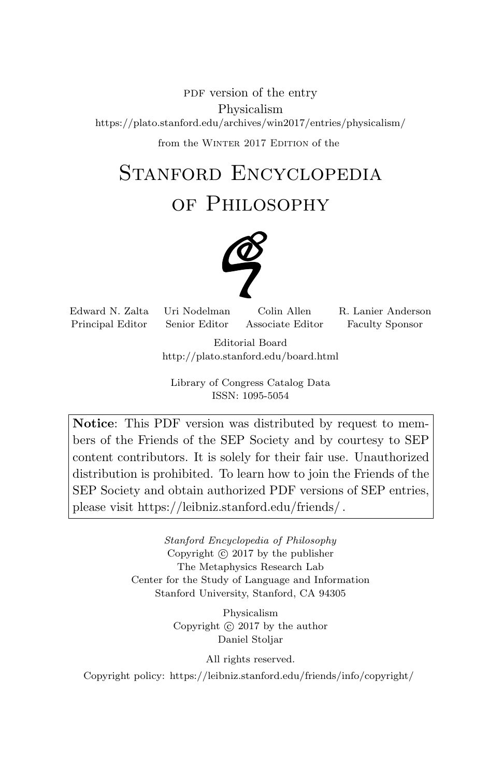PDF version of the entry Physicalism https://plato.stanford.edu/archives/win2017/entries/physicalism/ from the WINTER 2017 EDITION of the

# Stanford Encyclopedia

of Philosophy



Principal Editor Senior Editor Associate Editor Faculty Sponsor

Edward N. Zalta Uri Nodelman Colin Allen R. Lanier Anderson

Editorial Board http://plato.stanford.edu/board.html

Library of Congress Catalog Data ISSN: 1095-5054

Notice: This PDF version was distributed by request to members of the Friends of the SEP Society and by courtesy to SEP content contributors. It is solely for their fair use. Unauthorized distribution is prohibited. To learn how to join the Friends of the SEP Society and obtain authorized PDF versions of SEP entries, please visit https://leibniz.stanford.edu/friends/ .

> Stanford Encyclopedia of Philosophy Copyright  $\odot$  2017 by the publisher The Metaphysics Research Lab Center for the Study of Language and Information Stanford University, Stanford, CA 94305

> > Physicalism Copyright  $\odot$  2017 by the author Daniel Stoljar

> > > All rights reserved.

Copyright policy: https://leibniz.stanford.edu/friends/info/copyright/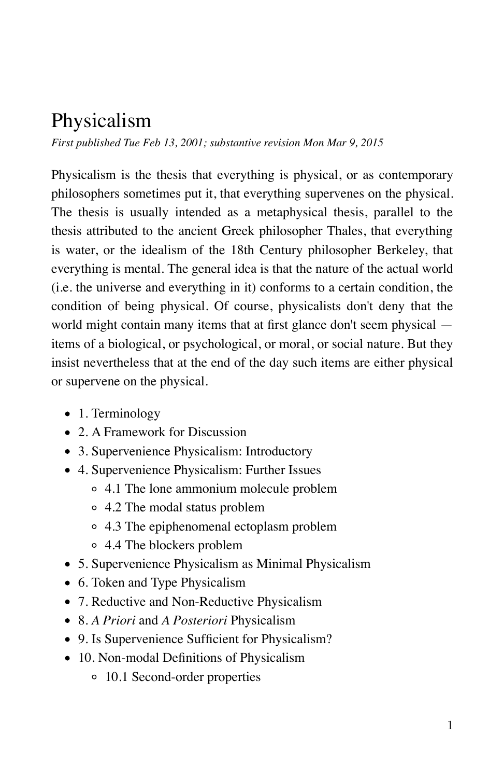# Physicalism

*First published Tue Feb 13, 2001; substantive revision Mon Mar 9, 2015*

Physicalism is the thesis that everything is physical, or as contemporary philosophers sometimes put it, that everything supervenes on the physical. The thesis is usually intended as a metaphysical thesis, parallel to the thesis attributed to the ancient Greek philosopher Thales, that everything is water, or the idealism of the 18th Century philosopher Berkeley, that everything is mental. The general idea is that the nature of the actual world (i.e. the universe and everything in it) conforms to a certain condition, the condition of being physical. Of course, physicalists don't deny that the world might contain many items that at first glance don't seem physical items of a biological, or psychological, or moral, or social nature. But they insist nevertheless that at the end of the day such items are either physical or supervene on the physical.

- 1. Terminology
- 2. A Framework for Discussion
- 3. Supervenience Physicalism: Introductory
- 4. Supervenience Physicalism: Further Issues
	- 4.1 The lone ammonium molecule problem
	- 4.2 The modal status problem
	- 4.3 The epiphenomenal ectoplasm problem
	- 4.4 The blockers problem
- 5. Supervenience Physicalism as Minimal Physicalism
- 6. Token and Type Physicalism
- 7. Reductive and Non-Reductive Physicalism
- 8. *A Priori* and *A Posteriori* Physicalism
- 9. Is Supervenience Sufficient for Physicalism?
- 10. Non-modal Definitions of Physicalism
	- 10.1 Second-order properties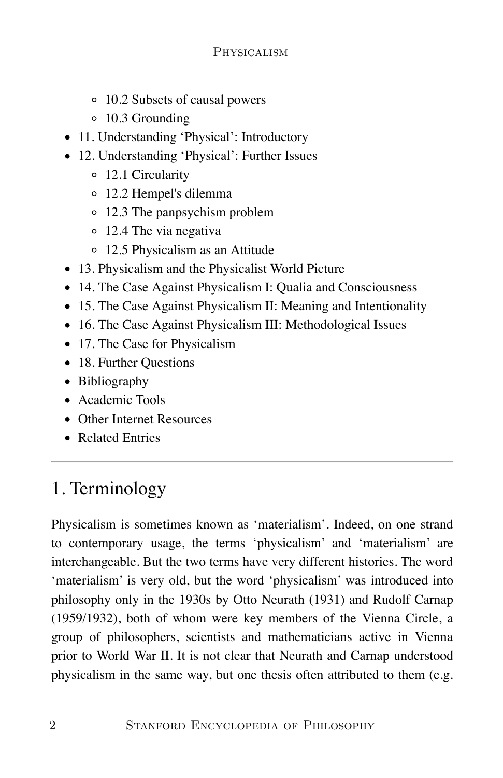- 10.2 Subsets of causal powers
- 10.3 Grounding
- 11. Understanding 'Physical': Introductory
- 12. Understanding 'Physical': Further Issues
	- 12.1 Circularity
	- 12.2 Hempel's dilemma
	- 12.3 The panpsychism problem
	- 12.4 The via negativa
	- 12.5 Physicalism as an Attitude
- 13. Physicalism and the Physicalist World Picture
- 14. The Case Against Physicalism I: Qualia and Consciousness
- 15. The Case Against Physicalism II: Meaning and Intentionality
- 16. The Case Against Physicalism III: Methodological Issues
- 17. The Case for Physicalism
- 18. Further Questions
- Bibliography
- Academic Tools
- Other Internet Resources
- Related Entries

# 1. Terminology

Physicalism is sometimes known as 'materialism'. Indeed, on one strand to contemporary usage, the terms 'physicalism' and 'materialism' are interchangeable. But the two terms have very different histories. The word 'materialism' is very old, but the word 'physicalism' was introduced into philosophy only in the 1930s by Otto Neurath (1931) and Rudolf Carnap (1959/1932), both of whom were key members of the Vienna Circle, a group of philosophers, scientists and mathematicians active in Vienna prior to World War II. It is not clear that Neurath and Carnap understood physicalism in the same way, but one thesis often attributed to them (e.g.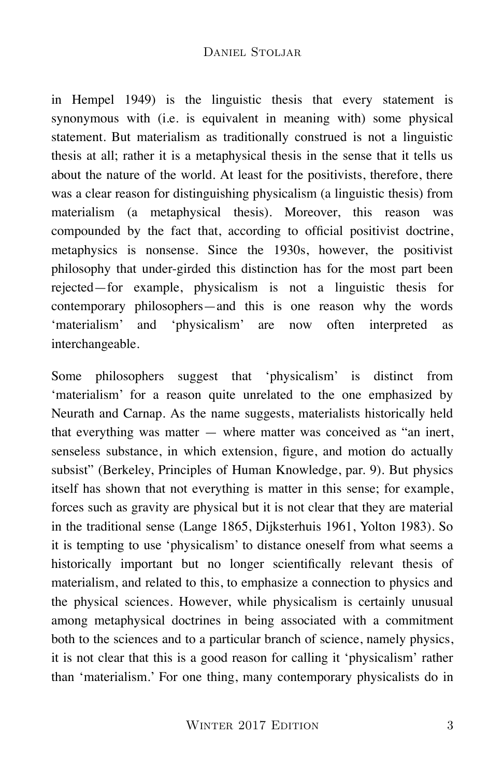in Hempel 1949) is the linguistic thesis that every statement is synonymous with (i.e. is equivalent in meaning with) some physical statement. But materialism as traditionally construed is not a linguistic thesis at all; rather it is a metaphysical thesis in the sense that it tells us about the nature of the world. At least for the positivists, therefore, there was a clear reason for distinguishing physicalism (a linguistic thesis) from materialism (a metaphysical thesis). Moreover, this reason was compounded by the fact that, according to official positivist doctrine, metaphysics is nonsense. Since the 1930s, however, the positivist philosophy that under-girded this distinction has for the most part been rejected—for example, physicalism is not a linguistic thesis for contemporary philosophers—and this is one reason why the words 'materialism' and 'physicalism' are now often interpreted as interchangeable.

Some philosophers suggest that 'physicalism' is distinct from 'materialism' for a reason quite unrelated to the one emphasized by Neurath and Carnap. As the name suggests, materialists historically held that everything was matter — where matter was conceived as "an inert, senseless substance, in which extension, figure, and motion do actually subsist" (Berkeley, Principles of Human Knowledge, par. 9). But physics itself has shown that not everything is matter in this sense; for example, forces such as gravity are physical but it is not clear that they are material in the traditional sense (Lange 1865, Dijksterhuis 1961, Yolton 1983). So it is tempting to use 'physicalism' to distance oneself from what seems a historically important but no longer scientifically relevant thesis of materialism, and related to this, to emphasize a connection to physics and the physical sciences. However, while physicalism is certainly unusual among metaphysical doctrines in being associated with a commitment both to the sciences and to a particular branch of science, namely physics, it is not clear that this is a good reason for calling it 'physicalism' rather than 'materialism.' For one thing, many contemporary physicalists do in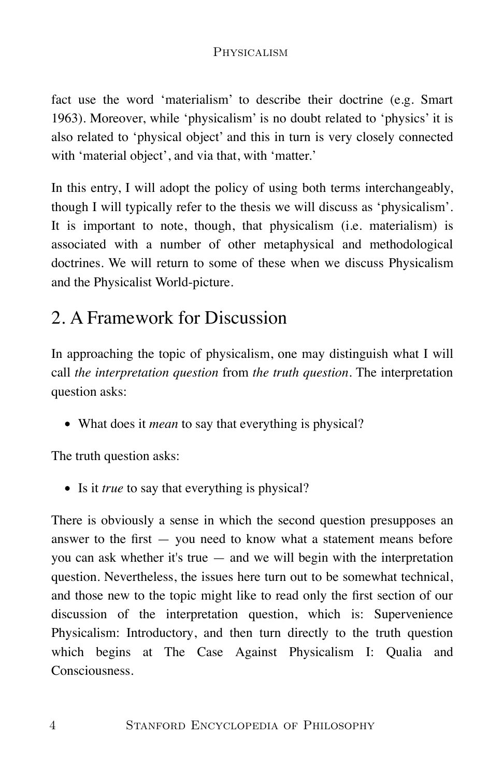fact use the word 'materialism' to describe their doctrine (e.g. Smart 1963). Moreover, while 'physicalism' is no doubt related to 'physics' it is also related to 'physical object' and this in turn is very closely connected with 'material object', and via that, with 'matter.'

In this entry, I will adopt the policy of using both terms interchangeably, though I will typically refer to the thesis we will discuss as 'physicalism'. It is important to note, though, that physicalism (i.e. materialism) is associated with a number of other metaphysical and methodological doctrines. We will return to some of these when we discuss Physicalism and the Physicalist World-picture.

# 2. A Framework for Discussion

In approaching the topic of physicalism, one may distinguish what I will call *the interpretation question* from *the truth question*. The interpretation question asks:

What does it *mean* to say that everything is physical?

The truth question asks:

• Is it *true* to say that everything is physical?

There is obviously a sense in which the second question presupposes an answer to the first  $-$  you need to know what a statement means before you can ask whether it's true — and we will begin with the interpretation question. Nevertheless, the issues here turn out to be somewhat technical, and those new to the topic might like to read only the first section of our discussion of the interpretation question, which is: Supervenience Physicalism: Introductory, and then turn directly to the truth question which begins at The Case Against Physicalism I: Qualia and Consciousness.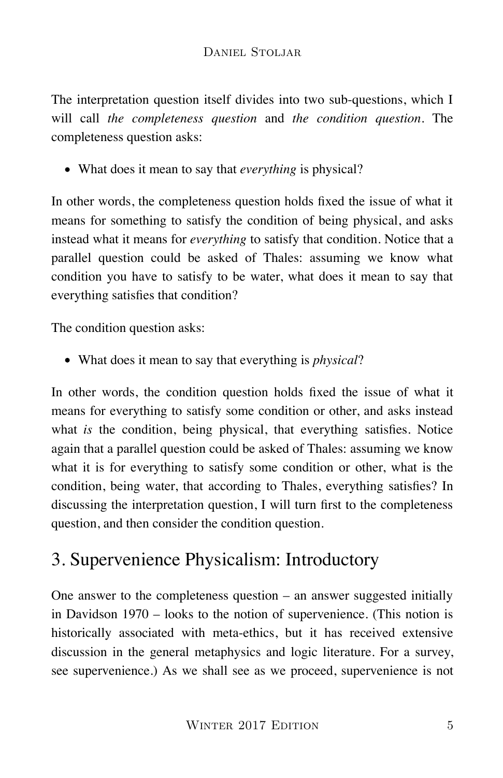The interpretation question itself divides into two sub-questions, which I will call *the completeness question* and *the condition question*. The completeness question asks:

What does it mean to say that *everything* is physical?

In other words, the completeness question holds fixed the issue of what it means for something to satisfy the condition of being physical, and asks instead what it means for *everything* to satisfy that condition. Notice that a parallel question could be asked of Thales: assuming we know what condition you have to satisfy to be water, what does it mean to say that everything satisfies that condition?

The condition question asks:

What does it mean to say that everything is *physical*?

In other words, the condition question holds fixed the issue of what it means for everything to satisfy some condition or other, and asks instead what *is* the condition, being physical, that everything satisfies. Notice again that a parallel question could be asked of Thales: assuming we know what it is for everything to satisfy some condition or other, what is the condition, being water, that according to Thales, everything satisfies? In discussing the interpretation question, I will turn first to the completeness question, and then consider the condition question.

# 3. Supervenience Physicalism: Introductory

One answer to the completeness question – an answer suggested initially in Davidson 1970 – looks to the notion of supervenience. (This notion is historically associated with meta-ethics, but it has received extensive discussion in the general metaphysics and logic literature. For a survey, see supervenience.) As we shall see as we proceed, supervenience is not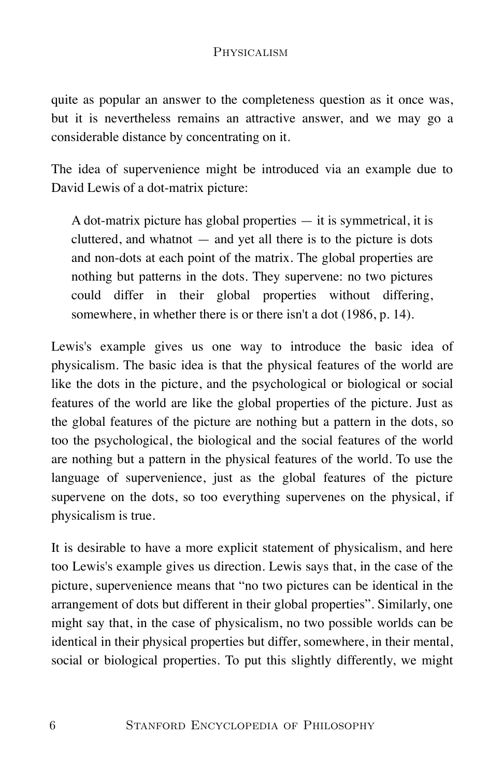quite as popular an answer to the completeness question as it once was, but it is nevertheless remains an attractive answer, and we may go a considerable distance by concentrating on it.

The idea of supervenience might be introduced via an example due to David Lewis of a dot-matrix picture:

A dot-matrix picture has global properties — it is symmetrical, it is cluttered, and whatnot — and yet all there is to the picture is dots and non-dots at each point of the matrix. The global properties are nothing but patterns in the dots. They supervene: no two pictures could differ in their global properties without differing, somewhere, in whether there is or there isn't a dot (1986, p. 14).

Lewis's example gives us one way to introduce the basic idea of physicalism. The basic idea is that the physical features of the world are like the dots in the picture, and the psychological or biological or social features of the world are like the global properties of the picture. Just as the global features of the picture are nothing but a pattern in the dots, so too the psychological, the biological and the social features of the world are nothing but a pattern in the physical features of the world. To use the language of supervenience, just as the global features of the picture supervene on the dots, so too everything supervenes on the physical, if physicalism is true.

It is desirable to have a more explicit statement of physicalism, and here too Lewis's example gives us direction. Lewis says that, in the case of the picture, supervenience means that "no two pictures can be identical in the arrangement of dots but different in their global properties". Similarly, one might say that, in the case of physicalism, no two possible worlds can be identical in their physical properties but differ, somewhere, in their mental, social or biological properties. To put this slightly differently, we might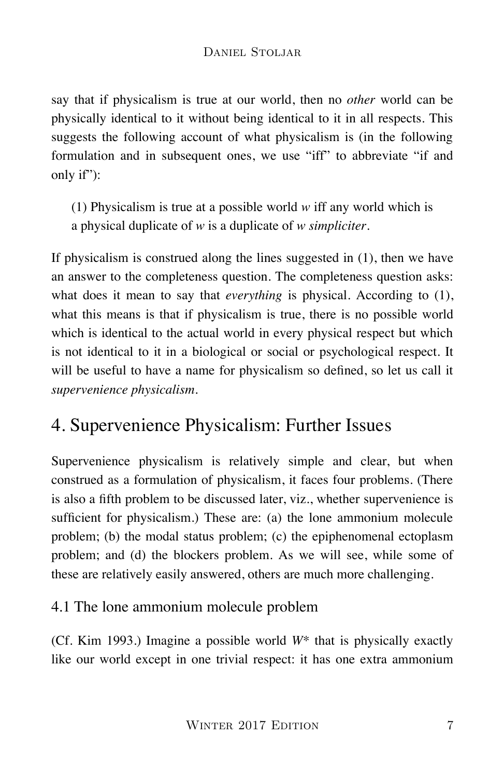say that if physicalism is true at our world, then no *other* world can be physically identical to it without being identical to it in all respects. This suggests the following account of what physicalism is (in the following formulation and in subsequent ones, we use "iff" to abbreviate "if and only if"):

(1) Physicalism is true at a possible world *w* iff any world which is a physical duplicate of *w* is a duplicate of *w simpliciter*.

If physicalism is construed along the lines suggested in (1), then we have an answer to the completeness question. The completeness question asks: what does it mean to say that *everything* is physical. According to (1), what this means is that if physicalism is true, there is no possible world which is identical to the actual world in every physical respect but which is not identical to it in a biological or social or psychological respect. It will be useful to have a name for physicalism so defined, so let us call it *supervenience physicalism*.

# 4. Supervenience Physicalism: Further Issues

Supervenience physicalism is relatively simple and clear, but when construed as a formulation of physicalism, it faces four problems. (There is also a fifth problem to be discussed later, viz., whether supervenience is sufficient for physicalism.) These are: (a) the lone ammonium molecule problem; (b) the modal status problem; (c) the epiphenomenal ectoplasm problem; and (d) the blockers problem. As we will see, while some of these are relatively easily answered, others are much more challenging.

4.1 The lone ammonium molecule problem

(Cf. Kim 1993.) Imagine a possible world *W\** that is physically exactly like our world except in one trivial respect: it has one extra ammonium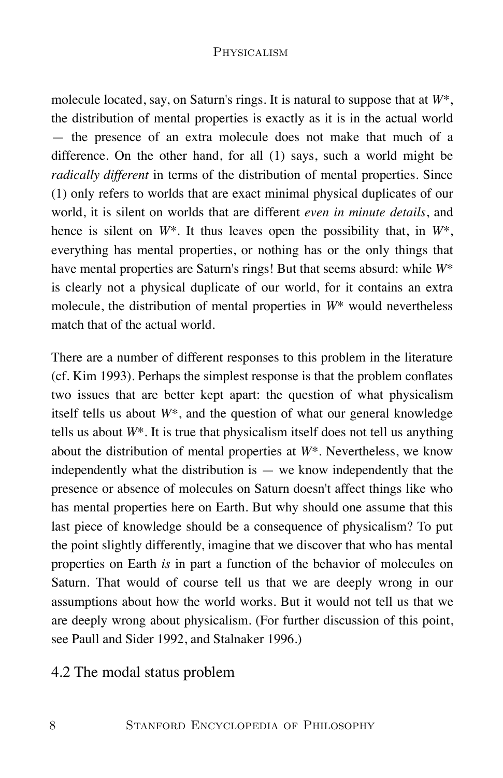molecule located, say, on Saturn's rings. It is natural to suppose that at *W\**, the distribution of mental properties is exactly as it is in the actual world — the presence of an extra molecule does not make that much of a difference. On the other hand, for all (1) says, such a world might be *radically different* in terms of the distribution of mental properties. Since (1) only refers to worlds that are exact minimal physical duplicates of our world, it is silent on worlds that are different *even in minute details*, and hence is silent on *W\**. It thus leaves open the possibility that, in *W\**, everything has mental properties, or nothing has or the only things that have mental properties are Saturn's rings! But that seems absurd: while *W\** is clearly not a physical duplicate of our world, for it contains an extra molecule, the distribution of mental properties in *W\** would nevertheless match that of the actual world.

There are a number of different responses to this problem in the literature (cf. Kim 1993). Perhaps the simplest response is that the problem conflates two issues that are better kept apart: the question of what physicalism itself tells us about *W\**, and the question of what our general knowledge tells us about *W\**. It is true that physicalism itself does not tell us anything about the distribution of mental properties at *W\**. Nevertheless, we know independently what the distribution is  $-$  we know independently that the presence or absence of molecules on Saturn doesn't affect things like who has mental properties here on Earth. But why should one assume that this last piece of knowledge should be a consequence of physicalism? To put the point slightly differently, imagine that we discover that who has mental properties on Earth *is* in part a function of the behavior of molecules on Saturn. That would of course tell us that we are deeply wrong in our assumptions about how the world works. But it would not tell us that we are deeply wrong about physicalism. (For further discussion of this point, see Paull and Sider 1992, and Stalnaker 1996.)

4.2 The modal status problem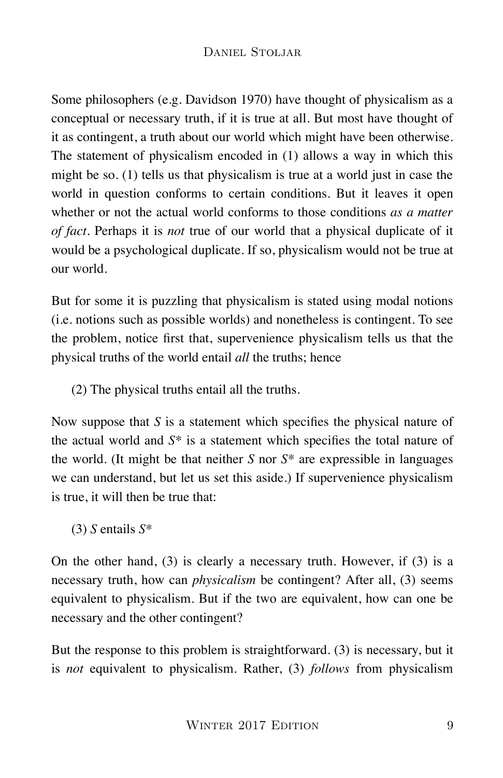Some philosophers (e.g. Davidson 1970) have thought of physicalism as a conceptual or necessary truth, if it is true at all. But most have thought of it as contingent, a truth about our world which might have been otherwise. The statement of physicalism encoded in (1) allows a way in which this might be so. (1) tells us that physicalism is true at a world just in case the world in question conforms to certain conditions. But it leaves it open whether or not the actual world conforms to those conditions *as a matter of fact*. Perhaps it is *not* true of our world that a physical duplicate of it would be a psychological duplicate. If so, physicalism would not be true at our world.

But for some it is puzzling that physicalism is stated using modal notions (i.e. notions such as possible worlds) and nonetheless is contingent. To see the problem, notice first that, supervenience physicalism tells us that the physical truths of the world entail *all* the truths; hence

(2) The physical truths entail all the truths.

Now suppose that *S* is a statement which specifies the physical nature of the actual world and *S\** is a statement which specifies the total nature of the world. (It might be that neither *S* nor *S\** are expressible in languages we can understand, but let us set this aside.) If supervenience physicalism is true, it will then be true that:

(3) *S* entails *S\**

On the other hand, (3) is clearly a necessary truth. However, if (3) is a necessary truth, how can *physicalism* be contingent? After all, (3) seems equivalent to physicalism. But if the two are equivalent, how can one be necessary and the other contingent?

But the response to this problem is straightforward. (3) is necessary, but it is *not* equivalent to physicalism. Rather, (3) *follows* from physicalism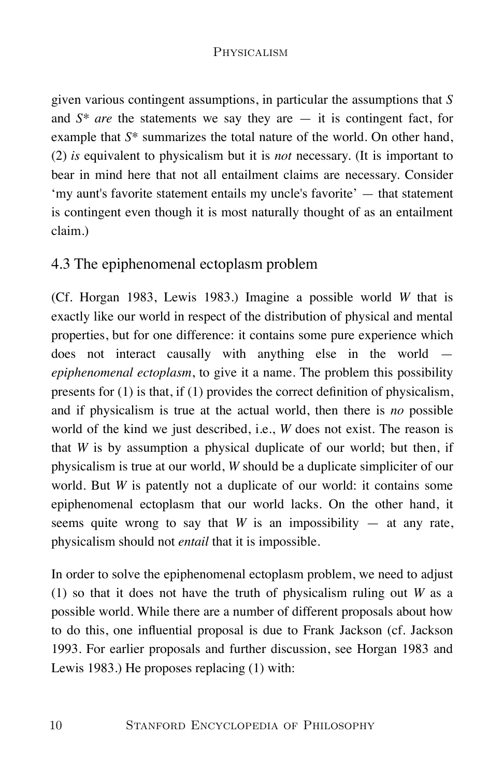given various contingent assumptions, in particular the assumptions that *S* and  $S^*$  *are* the statements we say they are  $-$  it is contingent fact, for example that *S\** summarizes the total nature of the world. On other hand, (2) *is* equivalent to physicalism but it is *not* necessary. (It is important to bear in mind here that not all entailment claims are necessary. Consider 'my aunt's favorite statement entails my uncle's favorite' — that statement is contingent even though it is most naturally thought of as an entailment claim.)

## 4.3 The epiphenomenal ectoplasm problem

(Cf. Horgan 1983, Lewis 1983.) Imagine a possible world *W* that is exactly like our world in respect of the distribution of physical and mental properties, but for one difference: it contains some pure experience which does not interact causally with anything else in the world *epiphenomenal ectoplasm*, to give it a name. The problem this possibility presents for (1) is that, if (1) provides the correct definition of physicalism, and if physicalism is true at the actual world, then there is *no* possible world of the kind we just described, i.e., *W* does not exist. The reason is that *W* is by assumption a physical duplicate of our world; but then, if physicalism is true at our world, *W* should be a duplicate simpliciter of our world. But *W* is patently not a duplicate of our world: it contains some epiphenomenal ectoplasm that our world lacks. On the other hand, it seems quite wrong to say that  $W$  is an impossibility  $-$  at any rate, physicalism should not *entail* that it is impossible.

In order to solve the epiphenomenal ectoplasm problem, we need to adjust (1) so that it does not have the truth of physicalism ruling out *W* as a possible world. While there are a number of different proposals about how to do this, one influential proposal is due to Frank Jackson (cf. Jackson 1993. For earlier proposals and further discussion, see Horgan 1983 and Lewis 1983.) He proposes replacing (1) with: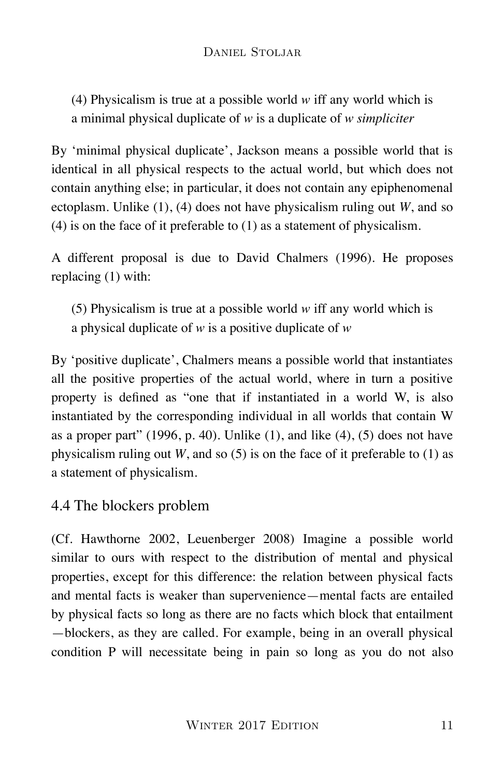(4) Physicalism is true at a possible world *w* iff any world which is a minimal physical duplicate of *w* is a duplicate of *w simpliciter*

By 'minimal physical duplicate', Jackson means a possible world that is identical in all physical respects to the actual world, but which does not contain anything else; in particular, it does not contain any epiphenomenal ectoplasm. Unlike (1), (4) does not have physicalism ruling out *W*, and so (4) is on the face of it preferable to (1) as a statement of physicalism.

A different proposal is due to David Chalmers (1996). He proposes replacing (1) with:

(5) Physicalism is true at a possible world *w* iff any world which is a physical duplicate of *w* is a positive duplicate of *w*

By 'positive duplicate', Chalmers means a possible world that instantiates all the positive properties of the actual world, where in turn a positive property is defined as "one that if instantiated in a world W, is also instantiated by the corresponding individual in all worlds that contain W as a proper part"  $(1996, p. 40)$ . Unlike  $(1)$ , and like  $(4)$ ,  $(5)$  does not have physicalism ruling out *W*, and so (5) is on the face of it preferable to (1) as a statement of physicalism.

4.4 The blockers problem

(Cf. Hawthorne 2002, Leuenberger 2008) Imagine a possible world similar to ours with respect to the distribution of mental and physical properties, except for this difference: the relation between physical facts and mental facts is weaker than supervenience—mental facts are entailed by physical facts so long as there are no facts which block that entailment —blockers, as they are called. For example, being in an overall physical condition P will necessitate being in pain so long as you do not also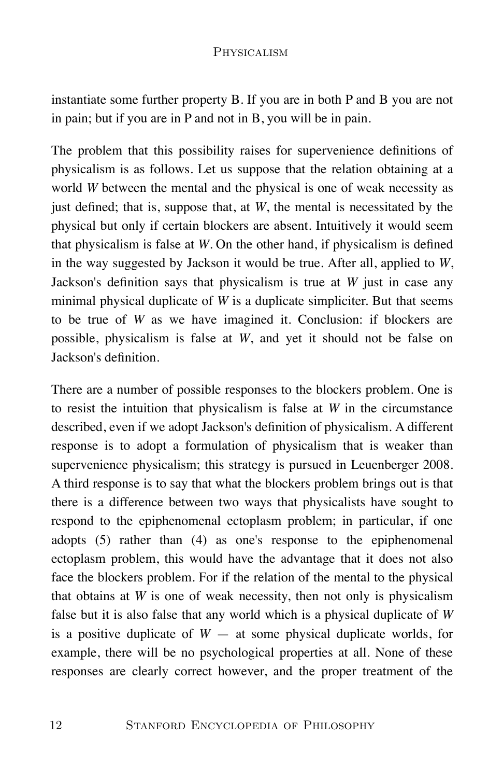instantiate some further property B. If you are in both P and B you are not in pain; but if you are in P and not in B, you will be in pain.

The problem that this possibility raises for supervenience definitions of physicalism is as follows. Let us suppose that the relation obtaining at a world *W* between the mental and the physical is one of weak necessity as just defined; that is, suppose that, at *W*, the mental is necessitated by the physical but only if certain blockers are absent. Intuitively it would seem that physicalism is false at *W*. On the other hand, if physicalism is defined in the way suggested by Jackson it would be true. After all, applied to *W*, Jackson's definition says that physicalism is true at *W* just in case any minimal physical duplicate of *W* is a duplicate simpliciter. But that seems to be true of *W* as we have imagined it. Conclusion: if blockers are possible, physicalism is false at *W*, and yet it should not be false on Jackson's definition.

There are a number of possible responses to the blockers problem. One is to resist the intuition that physicalism is false at *W* in the circumstance described, even if we adopt Jackson's definition of physicalism. A different response is to adopt a formulation of physicalism that is weaker than supervenience physicalism; this strategy is pursued in Leuenberger 2008. A third response is to say that what the blockers problem brings out is that there is a difference between two ways that physicalists have sought to respond to the epiphenomenal ectoplasm problem; in particular, if one adopts (5) rather than (4) as one's response to the epiphenomenal ectoplasm problem, this would have the advantage that it does not also face the blockers problem. For if the relation of the mental to the physical that obtains at *W* is one of weak necessity, then not only is physicalism false but it is also false that any world which is a physical duplicate of *W* is a positive duplicate of  $W -$  at some physical duplicate worlds, for example, there will be no psychological properties at all. None of these responses are clearly correct however, and the proper treatment of the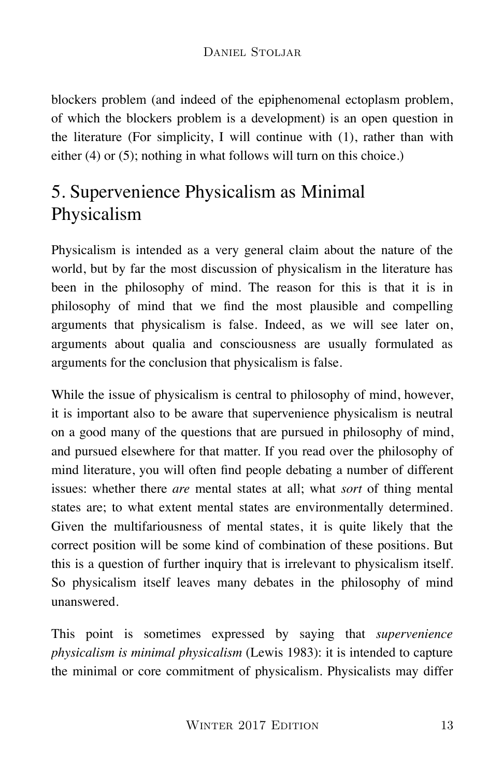blockers problem (and indeed of the epiphenomenal ectoplasm problem, of which the blockers problem is a development) is an open question in the literature (For simplicity, I will continue with (1), rather than with either (4) or (5); nothing in what follows will turn on this choice.)

# 5. Supervenience Physicalism as Minimal Physicalism

Physicalism is intended as a very general claim about the nature of the world, but by far the most discussion of physicalism in the literature has been in the philosophy of mind. The reason for this is that it is in philosophy of mind that we find the most plausible and compelling arguments that physicalism is false. Indeed, as we will see later on, arguments about qualia and consciousness are usually formulated as arguments for the conclusion that physicalism is false.

While the issue of physicalism is central to philosophy of mind, however, it is important also to be aware that supervenience physicalism is neutral on a good many of the questions that are pursued in philosophy of mind, and pursued elsewhere for that matter. If you read over the philosophy of mind literature, you will often find people debating a number of different issues: whether there *are* mental states at all; what *sort* of thing mental states are; to what extent mental states are environmentally determined. Given the multifariousness of mental states, it is quite likely that the correct position will be some kind of combination of these positions. But this is a question of further inquiry that is irrelevant to physicalism itself. So physicalism itself leaves many debates in the philosophy of mind unanswered.

This point is sometimes expressed by saying that *supervenience physicalism is minimal physicalism* (Lewis 1983): it is intended to capture the minimal or core commitment of physicalism. Physicalists may differ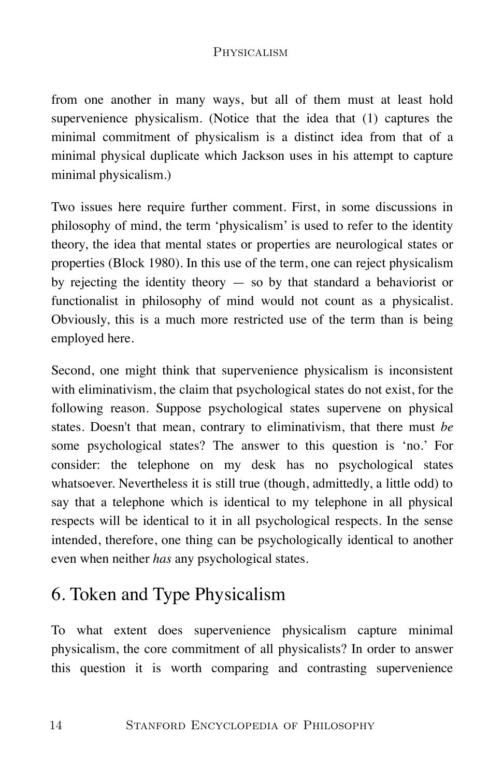from one another in many ways, but all of them must at least hold supervenience physicalism. (Notice that the idea that (1) captures the minimal commitment of physicalism is a distinct idea from that of a minimal physical duplicate which Jackson uses in his attempt to capture minimal physicalism.)

Two issues here require further comment. First, in some discussions in philosophy of mind, the term 'physicalism' is used to refer to the identity theory, the idea that mental states or properties are neurological states or properties (Block 1980). In this use of the term, one can reject physicalism by rejecting the identity theory — so by that standard a behaviorist or functionalist in philosophy of mind would not count as a physicalist. Obviously, this is a much more restricted use of the term than is being employed here.

Second, one might think that supervenience physicalism is inconsistent with eliminativism, the claim that psychological states do not exist, for the following reason. Suppose psychological states supervene on physical states. Doesn't that mean, contrary to eliminativism, that there must *be* some psychological states? The answer to this question is 'no.' For consider: the telephone on my desk has no psychological states whatsoever. Nevertheless it is still true (though, admittedly, a little odd) to say that a telephone which is identical to my telephone in all physical respects will be identical to it in all psychological respects. In the sense intended, therefore, one thing can be psychologically identical to another even when neither *has* any psychological states.

# 6. Token and Type Physicalism

To what extent does supervenience physicalism capture minimal physicalism, the core commitment of all physicalists? In order to answer this question it is worth comparing and contrasting supervenience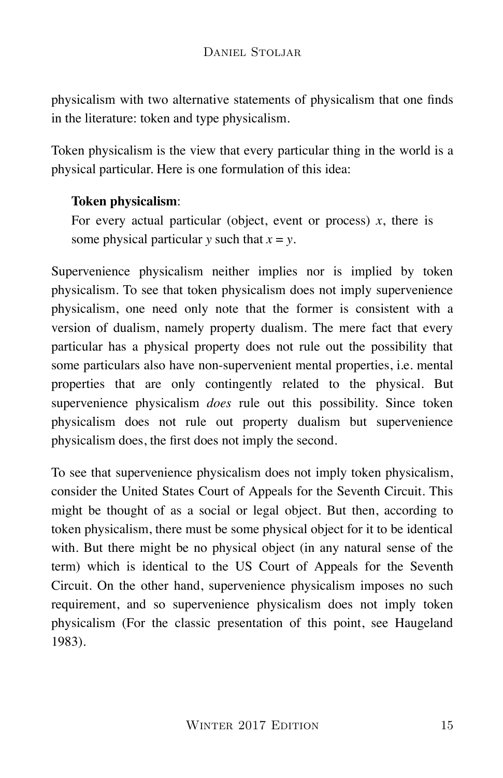physicalism with two alternative statements of physicalism that one finds in the literature: token and type physicalism.

Token physicalism is the view that every particular thing in the world is a physical particular. Here is one formulation of this idea:

## **Token physicalism**:

For every actual particular (object, event or process)  $x$ , there is some physical particular  $y$  such that  $x = y$ .

Supervenience physicalism neither implies nor is implied by token physicalism. To see that token physicalism does not imply supervenience physicalism, one need only note that the former is consistent with a version of dualism, namely property dualism. The mere fact that every particular has a physical property does not rule out the possibility that some particulars also have non-supervenient mental properties, i.e. mental properties that are only contingently related to the physical. But supervenience physicalism *does* rule out this possibility. Since token physicalism does not rule out property dualism but supervenience physicalism does, the first does not imply the second.

To see that supervenience physicalism does not imply token physicalism, consider the United States Court of Appeals for the Seventh Circuit. This might be thought of as a social or legal object. But then, according to token physicalism, there must be some physical object for it to be identical with. But there might be no physical object (in any natural sense of the term) which is identical to the US Court of Appeals for the Seventh Circuit. On the other hand, supervenience physicalism imposes no such requirement, and so supervenience physicalism does not imply token physicalism (For the classic presentation of this point, see Haugeland 1983).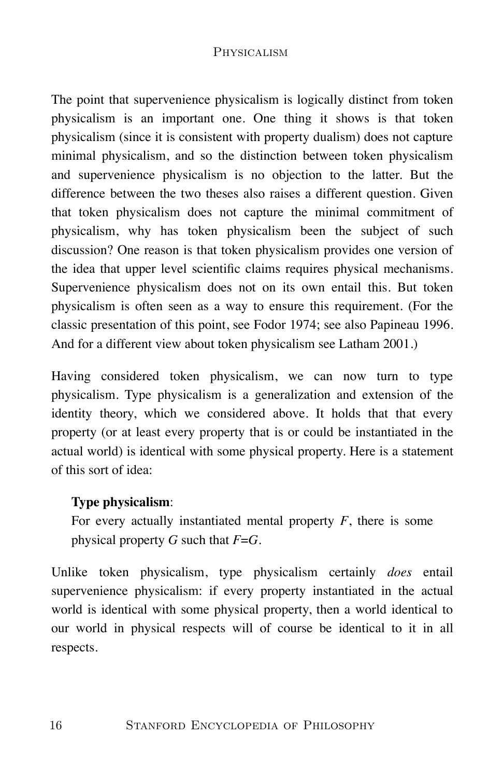The point that supervenience physicalism is logically distinct from token physicalism is an important one. One thing it shows is that token physicalism (since it is consistent with property dualism) does not capture minimal physicalism, and so the distinction between token physicalism and supervenience physicalism is no objection to the latter. But the difference between the two theses also raises a different question. Given that token physicalism does not capture the minimal commitment of physicalism, why has token physicalism been the subject of such discussion? One reason is that token physicalism provides one version of the idea that upper level scientific claims requires physical mechanisms. Supervenience physicalism does not on its own entail this. But token physicalism is often seen as a way to ensure this requirement. (For the classic presentation of this point, see Fodor 1974; see also Papineau 1996. And for a different view about token physicalism see Latham 2001.)

Having considered token physicalism, we can now turn to type physicalism. Type physicalism is a generalization and extension of the identity theory, which we considered above. It holds that that every property (or at least every property that is or could be instantiated in the actual world) is identical with some physical property. Here is a statement of this sort of idea:

## **Type physicalism**:

For every actually instantiated mental property *F*, there is some physical property *G* such that *F*=*G*.

Unlike token physicalism, type physicalism certainly *does* entail supervenience physicalism: if every property instantiated in the actual world is identical with some physical property, then a world identical to our world in physical respects will of course be identical to it in all respects.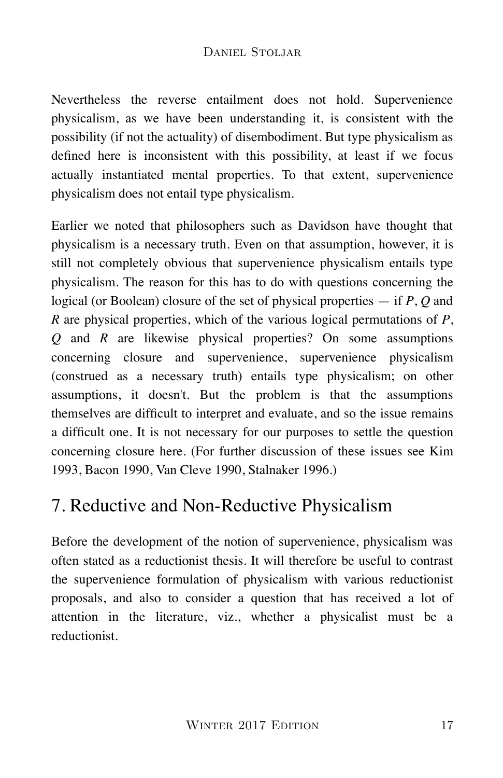Nevertheless the reverse entailment does not hold. Supervenience physicalism, as we have been understanding it, is consistent with the possibility (if not the actuality) of disembodiment. But type physicalism as defined here is inconsistent with this possibility, at least if we focus actually instantiated mental properties. To that extent, supervenience physicalism does not entail type physicalism.

Earlier we noted that philosophers such as Davidson have thought that physicalism is a necessary truth. Even on that assumption, however, it is still not completely obvious that supervenience physicalism entails type physicalism. The reason for this has to do with questions concerning the logical (or Boolean) closure of the set of physical properties — if *P*, *Q* and *R* are physical properties, which of the various logical permutations of *P*, *Q* and *R* are likewise physical properties? On some assumptions concerning closure and supervenience, supervenience physicalism (construed as a necessary truth) entails type physicalism; on other assumptions, it doesn't. But the problem is that the assumptions themselves are difficult to interpret and evaluate, and so the issue remains a difficult one. It is not necessary for our purposes to settle the question concerning closure here. (For further discussion of these issues see Kim 1993, Bacon 1990, Van Cleve 1990, Stalnaker 1996.)

# 7. Reductive and Non-Reductive Physicalism

Before the development of the notion of supervenience, physicalism was often stated as a reductionist thesis. It will therefore be useful to contrast the supervenience formulation of physicalism with various reductionist proposals, and also to consider a question that has received a lot of attention in the literature, viz., whether a physicalist must be a reductionist.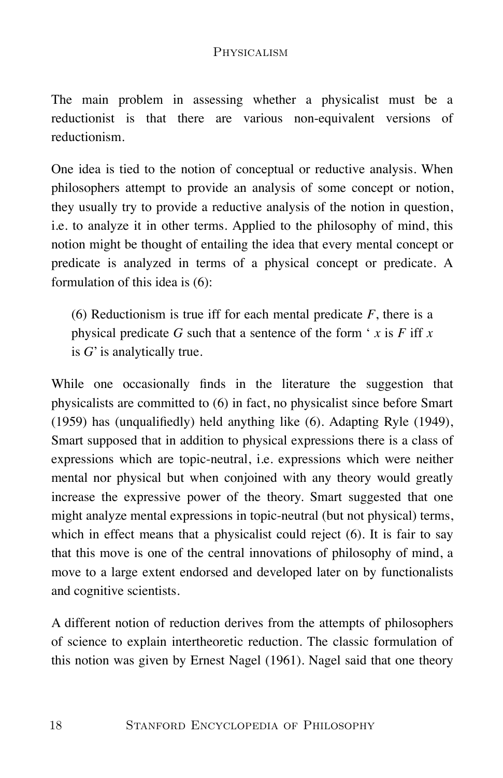The main problem in assessing whether a physicalist must be a reductionist is that there are various non-equivalent versions of reductionism.

One idea is tied to the notion of conceptual or reductive analysis. When philosophers attempt to provide an analysis of some concept or notion, they usually try to provide a reductive analysis of the notion in question, i.e. to analyze it in other terms. Applied to the philosophy of mind, this notion might be thought of entailing the idea that every mental concept or predicate is analyzed in terms of a physical concept or predicate. A formulation of this idea is (6):

(6) Reductionism is true iff for each mental predicate *F*, there is a physical predicate *G* such that a sentence of the form ' *x* is  $F$  iff  $x$ is *G*' is analytically true.

While one occasionally finds in the literature the suggestion that physicalists are committed to (6) in fact, no physicalist since before Smart (1959) has (unqualifiedly) held anything like (6). Adapting Ryle (1949), Smart supposed that in addition to physical expressions there is a class of expressions which are topic-neutral, i.e. expressions which were neither mental nor physical but when conjoined with any theory would greatly increase the expressive power of the theory. Smart suggested that one might analyze mental expressions in topic-neutral (but not physical) terms, which in effect means that a physicalist could reject (6). It is fair to say that this move is one of the central innovations of philosophy of mind, a move to a large extent endorsed and developed later on by functionalists and cognitive scientists.

A different notion of reduction derives from the attempts of philosophers of science to explain intertheoretic reduction. The classic formulation of this notion was given by Ernest Nagel (1961). Nagel said that one theory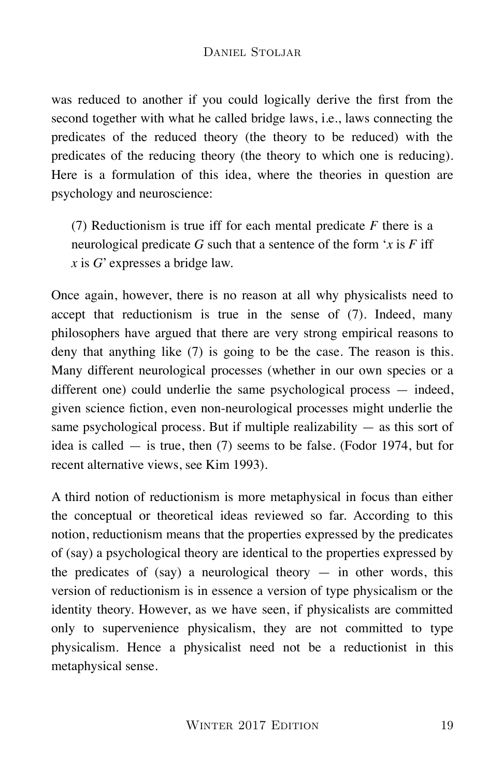was reduced to another if you could logically derive the first from the second together with what he called bridge laws, i.e., laws connecting the predicates of the reduced theory (the theory to be reduced) with the predicates of the reducing theory (the theory to which one is reducing). Here is a formulation of this idea, where the theories in question are psychology and neuroscience:

(7) Reductionism is true iff for each mental predicate *F* there is a neurological predicate *G* such that a sentence of the form '*x* is *F* iff *x* is *G*' expresses a bridge law.

Once again, however, there is no reason at all why physicalists need to accept that reductionism is true in the sense of (7). Indeed, many philosophers have argued that there are very strong empirical reasons to deny that anything like (7) is going to be the case. The reason is this. Many different neurological processes (whether in our own species or a different one) could underlie the same psychological process — indeed, given science fiction, even non-neurological processes might underlie the same psychological process. But if multiple realizability  $-$  as this sort of idea is called  $-$  is true, then  $(7)$  seems to be false. (Fodor 1974, but for recent alternative views, see Kim 1993).

A third notion of reductionism is more metaphysical in focus than either the conceptual or theoretical ideas reviewed so far. According to this notion, reductionism means that the properties expressed by the predicates of (say) a psychological theory are identical to the properties expressed by the predicates of (say) a neurological theory  $-$  in other words, this version of reductionism is in essence a version of type physicalism or the identity theory. However, as we have seen, if physicalists are committed only to supervenience physicalism, they are not committed to type physicalism. Hence a physicalist need not be a reductionist in this metaphysical sense.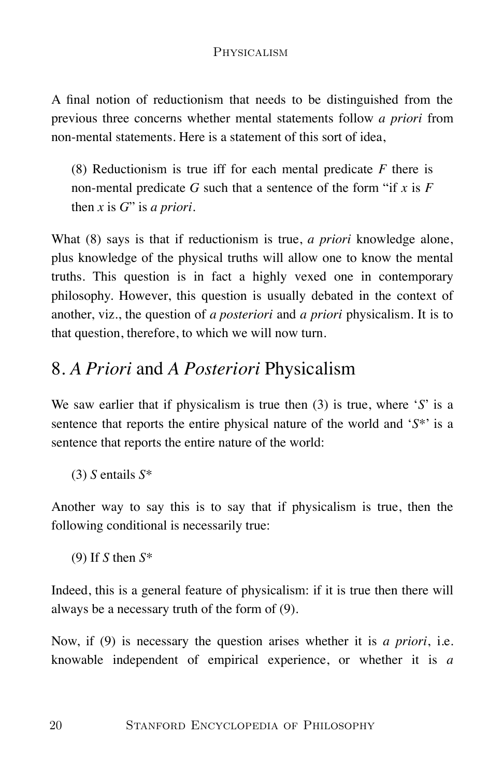A final notion of reductionism that needs to be distinguished from the previous three concerns whether mental statements follow *a priori* from non-mental statements. Here is a statement of this sort of idea,

(8) Reductionism is true iff for each mental predicate *F* there is non-mental predicate *G* such that a sentence of the form "if *x* is *F* then *x* is *G*" is *a priori*.

What (8) says is that if reductionism is true, *a priori* knowledge alone, plus knowledge of the physical truths will allow one to know the mental truths. This question is in fact a highly vexed one in contemporary philosophy. However, this question is usually debated in the context of another, viz., the question of *a posteriori* and *a priori* physicalism. It is to that question, therefore, to which we will now turn.

## 8. *A Priori* and *A Posteriori* Physicalism

We saw earlier that if physicalism is true then (3) is true, where '*S*' is a sentence that reports the entire physical nature of the world and '*S\**' is a sentence that reports the entire nature of the world:

(3) *S* entails *S\**

Another way to say this is to say that if physicalism is true, then the following conditional is necessarily true:

(9) If *S* then *S\**

Indeed, this is a general feature of physicalism: if it is true then there will always be a necessary truth of the form of (9).

Now, if (9) is necessary the question arises whether it is *a priori*, i.e. knowable independent of empirical experience, or whether it is *a*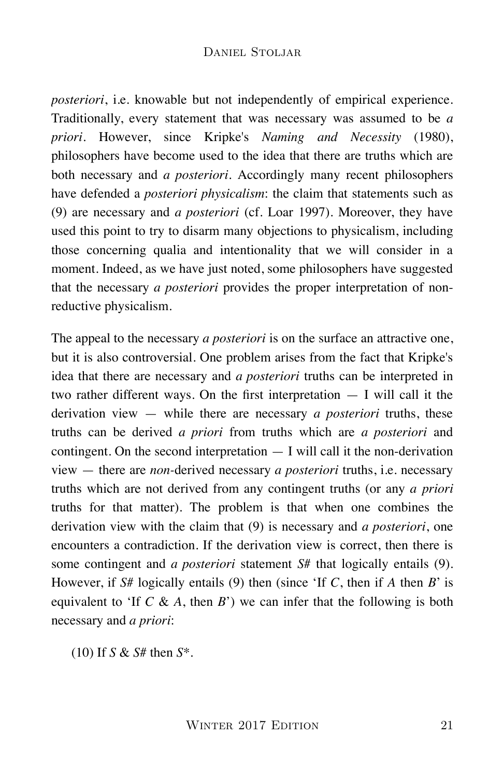*posteriori*, i.e. knowable but not independently of empirical experience. Traditionally, every statement that was necessary was assumed to be *a priori*. However, since Kripke's *Naming and Necessity* (1980), philosophers have become used to the idea that there are truths which are both necessary and *a posteriori*. Accordingly many recent philosophers have defended a *posteriori physicalism*: the claim that statements such as (9) are necessary and *a posteriori* (cf. Loar 1997). Moreover, they have used this point to try to disarm many objections to physicalism, including those concerning qualia and intentionality that we will consider in a moment. Indeed, as we have just noted, some philosophers have suggested that the necessary *a posteriori* provides the proper interpretation of nonreductive physicalism.

The appeal to the necessary *a posteriori* is on the surface an attractive one, but it is also controversial. One problem arises from the fact that Kripke's idea that there are necessary and *a posteriori* truths can be interpreted in two rather different ways. On the first interpretation — I will call it the derivation view — while there are necessary *a posteriori* truths, these truths can be derived *a priori* from truths which are *a posteriori* and contingent. On the second interpretation  $- I$  will call it the non-derivation view — there are *non-*derived necessary *a posteriori* truths, i.e. necessary truths which are not derived from any contingent truths (or any *a priori* truths for that matter). The problem is that when one combines the derivation view with the claim that (9) is necessary and *a posteriori*, one encounters a contradiction. If the derivation view is correct, then there is some contingent and *a posteriori* statement *S#* that logically entails (9). However, if *S#* logically entails (9) then (since 'If *C*, then if *A* then *B*' is equivalent to 'If *C* & *A*, then *B*') we can infer that the following is both necessary and *a priori*:

(10) If *S* & *S#* then *S\**.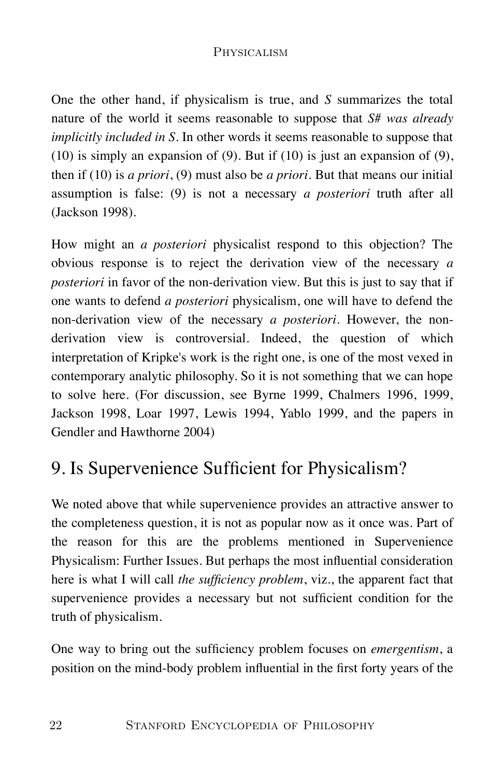One the other hand, if physicalism is true, and *S* summarizes the total nature of the world it seems reasonable to suppose that *S# was already implicitly included in S*. In other words it seems reasonable to suppose that (10) is simply an expansion of (9). But if (10) is just an expansion of (9), then if (10) is *a priori*, (9) must also be *a priori*. But that means our initial assumption is false: (9) is not a necessary *a posteriori* truth after all (Jackson 1998).

How might an *a posteriori* physicalist respond to this objection? The obvious response is to reject the derivation view of the necessary *a posteriori* in favor of the non-derivation view. But this is just to say that if one wants to defend *a posteriori* physicalism, one will have to defend the non-derivation view of the necessary *a posteriori*. However, the nonderivation view is controversial. Indeed, the question of which interpretation of Kripke's work is the right one, is one of the most vexed in contemporary analytic philosophy. So it is not something that we can hope to solve here. (For discussion, see Byrne 1999, Chalmers 1996, 1999, Jackson 1998, Loar 1997, Lewis 1994, Yablo 1999, and the papers in Gendler and Hawthorne 2004)

# 9. Is Supervenience Sufficient for Physicalism?

We noted above that while supervenience provides an attractive answer to the completeness question, it is not as popular now as it once was. Part of the reason for this are the problems mentioned in Supervenience Physicalism: Further Issues. But perhaps the most influential consideration here is what I will call *the sufficiency problem*, viz., the apparent fact that supervenience provides a necessary but not sufficient condition for the truth of physicalism.

One way to bring out the sufficiency problem focuses on *emergentism*, a position on the mind-body problem influential in the first forty years of the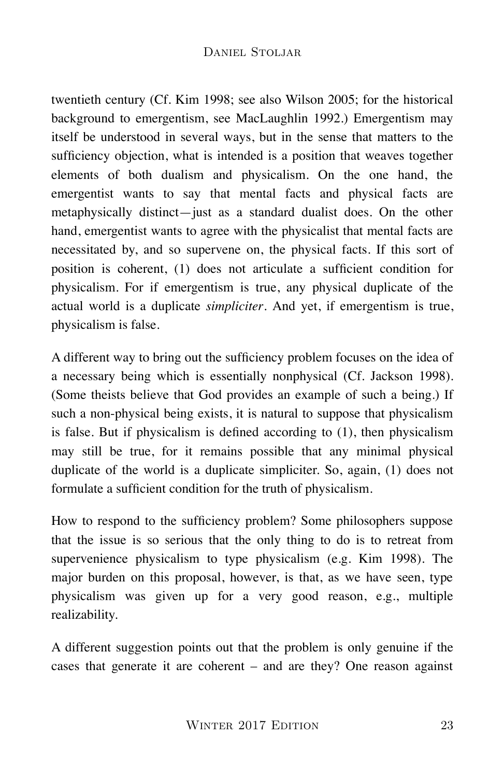twentieth century (Cf. Kim 1998; see also Wilson 2005; for the historical background to emergentism, see MacLaughlin 1992.) Emergentism may itself be understood in several ways, but in the sense that matters to the sufficiency objection, what is intended is a position that weaves together elements of both dualism and physicalism. On the one hand, the emergentist wants to say that mental facts and physical facts are metaphysically distinct—just as a standard dualist does. On the other hand, emergentist wants to agree with the physicalist that mental facts are necessitated by, and so supervene on, the physical facts. If this sort of position is coherent, (1) does not articulate a sufficient condition for physicalism. For if emergentism is true, any physical duplicate of the actual world is a duplicate *simpliciter*. And yet, if emergentism is true, physicalism is false.

A different way to bring out the sufficiency problem focuses on the idea of a necessary being which is essentially nonphysical (Cf. Jackson 1998). (Some theists believe that God provides an example of such a being.) If such a non-physical being exists, it is natural to suppose that physicalism is false. But if physicalism is defined according to (1), then physicalism may still be true, for it remains possible that any minimal physical duplicate of the world is a duplicate simpliciter. So, again, (1) does not formulate a sufficient condition for the truth of physicalism.

How to respond to the sufficiency problem? Some philosophers suppose that the issue is so serious that the only thing to do is to retreat from supervenience physicalism to type physicalism (e.g. Kim 1998). The major burden on this proposal, however, is that, as we have seen, type physicalism was given up for a very good reason, e.g., multiple realizability.

A different suggestion points out that the problem is only genuine if the cases that generate it are coherent – and are they? One reason against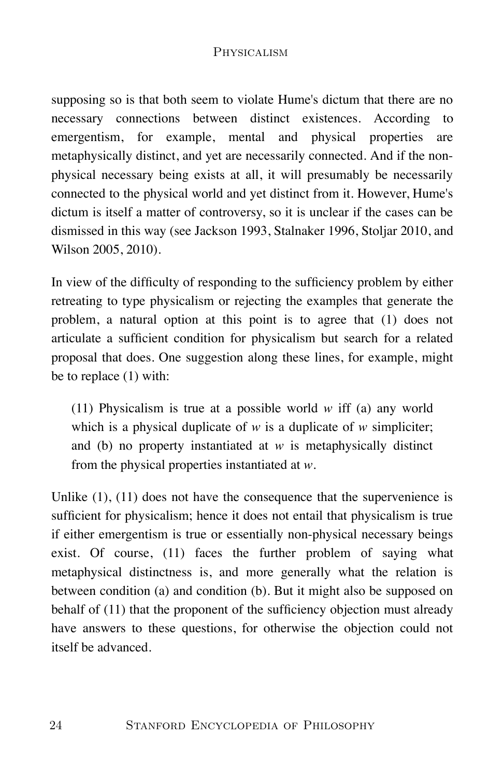supposing so is that both seem to violate Hume's dictum that there are no necessary connections between distinct existences. According to emergentism, for example, mental and physical properties are metaphysically distinct, and yet are necessarily connected. And if the nonphysical necessary being exists at all, it will presumably be necessarily connected to the physical world and yet distinct from it. However, Hume's dictum is itself a matter of controversy, so it is unclear if the cases can be dismissed in this way (see Jackson 1993, Stalnaker 1996, Stoljar 2010, and Wilson 2005, 2010).

In view of the difficulty of responding to the sufficiency problem by either retreating to type physicalism or rejecting the examples that generate the problem, a natural option at this point is to agree that (1) does not articulate a sufficient condition for physicalism but search for a related proposal that does. One suggestion along these lines, for example, might be to replace (1) with:

(11) Physicalism is true at a possible world *w* iff (a) any world which is a physical duplicate of *w* is a duplicate of *w* simpliciter; and (b) no property instantiated at *w* is metaphysically distinct from the physical properties instantiated at *w*.

Unlike  $(1)$ ,  $(11)$  does not have the consequence that the supervenience is sufficient for physicalism; hence it does not entail that physicalism is true if either emergentism is true or essentially non-physical necessary beings exist. Of course, (11) faces the further problem of saying what metaphysical distinctness is, and more generally what the relation is between condition (a) and condition (b). But it might also be supposed on behalf of (11) that the proponent of the sufficiency objection must already have answers to these questions, for otherwise the objection could not itself be advanced.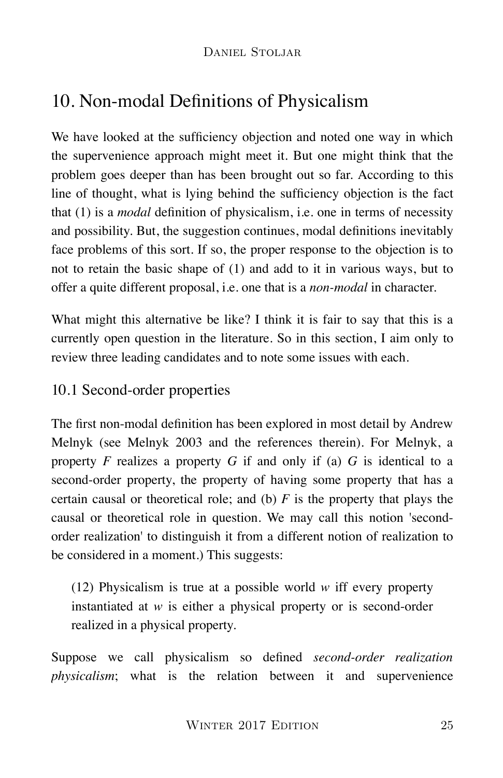# 10. Non-modal Definitions of Physicalism

We have looked at the sufficiency objection and noted one way in which the supervenience approach might meet it. But one might think that the problem goes deeper than has been brought out so far. According to this line of thought, what is lying behind the sufficiency objection is the fact that (1) is a *modal* definition of physicalism, i.e. one in terms of necessity and possibility. But, the suggestion continues, modal definitions inevitably face problems of this sort. If so, the proper response to the objection is to not to retain the basic shape of (1) and add to it in various ways, but to offer a quite different proposal, i.e. one that is a *non-modal* in character.

What might this alternative be like? I think it is fair to say that this is a currently open question in the literature. So in this section, I aim only to review three leading candidates and to note some issues with each.

## 10.1 Second-order properties

The first non-modal definition has been explored in most detail by Andrew Melnyk (see Melnyk 2003 and the references therein). For Melnyk, a property *F* realizes a property *G* if and only if (a) *G* is identical to a second-order property, the property of having some property that has a certain causal or theoretical role; and (b)  $F$  is the property that plays the causal or theoretical role in question. We may call this notion 'secondorder realization' to distinguish it from a different notion of realization to be considered in a moment.) This suggests:

(12) Physicalism is true at a possible world *w* iff every property instantiated at *w* is either a physical property or is second-order realized in a physical property.

Suppose we call physicalism so defined *second-order realization physicalism*; what is the relation between it and supervenience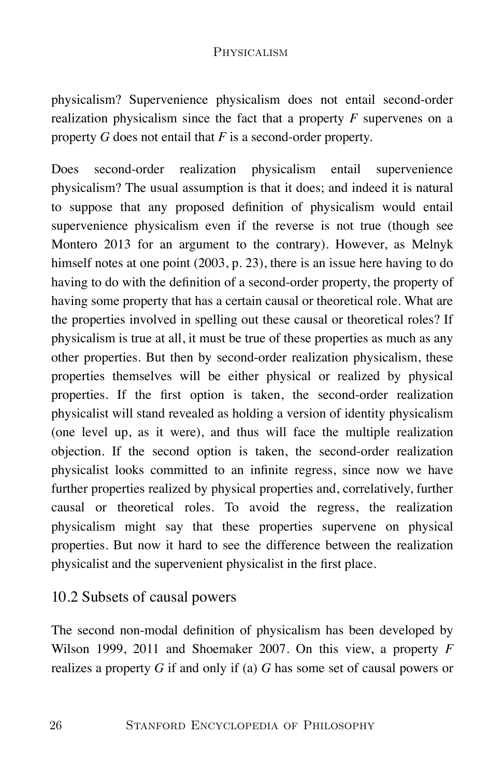physicalism? Supervenience physicalism does not entail second-order realization physicalism since the fact that a property *F* supervenes on a property *G* does not entail that *F* is a second-order property.

Does second-order realization physicalism entail supervenience physicalism? The usual assumption is that it does; and indeed it is natural to suppose that any proposed definition of physicalism would entail supervenience physicalism even if the reverse is not true (though see Montero 2013 for an argument to the contrary). However, as Melnyk himself notes at one point (2003, p. 23), there is an issue here having to do having to do with the definition of a second-order property, the property of having some property that has a certain causal or theoretical role. What are the properties involved in spelling out these causal or theoretical roles? If physicalism is true at all, it must be true of these properties as much as any other properties. But then by second-order realization physicalism, these properties themselves will be either physical or realized by physical properties. If the first option is taken, the second-order realization physicalist will stand revealed as holding a version of identity physicalism (one level up, as it were), and thus will face the multiple realization objection. If the second option is taken, the second-order realization physicalist looks committed to an infinite regress, since now we have further properties realized by physical properties and, correlatively, further causal or theoretical roles. To avoid the regress, the realization physicalism might say that these properties supervene on physical properties. But now it hard to see the difference between the realization physicalist and the supervenient physicalist in the first place.

## 10.2 Subsets of causal powers

The second non-modal definition of physicalism has been developed by Wilson 1999, 2011 and Shoemaker 2007. On this view, a property *F* realizes a property *G* if and only if (a) *G* has some set of causal powers or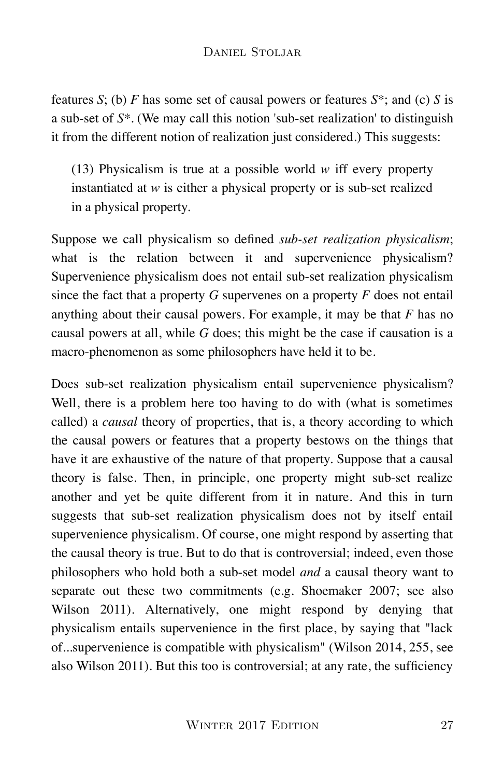features *S*; (b) *F* has some set of causal powers or features *S\**; and (c) *S* is a sub-set of *S\**. (We may call this notion 'sub-set realization' to distinguish it from the different notion of realization just considered.) This suggests:

(13) Physicalism is true at a possible world *w* iff every property instantiated at *w* is either a physical property or is sub-set realized in a physical property.

Suppose we call physicalism so defined *sub-set realization physicalism*; what is the relation between it and supervenience physicalism? Supervenience physicalism does not entail sub-set realization physicalism since the fact that a property *G* supervenes on a property *F* does not entail anything about their causal powers. For example, it may be that *F* has no causal powers at all, while *G* does; this might be the case if causation is a macro-phenomenon as some philosophers have held it to be.

Does sub-set realization physicalism entail supervenience physicalism? Well, there is a problem here too having to do with (what is sometimes called) a *causal* theory of properties, that is, a theory according to which the causal powers or features that a property bestows on the things that have it are exhaustive of the nature of that property. Suppose that a causal theory is false. Then, in principle, one property might sub-set realize another and yet be quite different from it in nature. And this in turn suggests that sub-set realization physicalism does not by itself entail supervenience physicalism. Of course, one might respond by asserting that the causal theory is true. But to do that is controversial; indeed, even those philosophers who hold both a sub-set model *and* a causal theory want to separate out these two commitments (e.g. Shoemaker 2007; see also Wilson 2011). Alternatively, one might respond by denying that physicalism entails supervenience in the first place, by saying that "lack of...supervenience is compatible with physicalism" (Wilson 2014, 255, see also Wilson 2011). But this too is controversial; at any rate, the sufficiency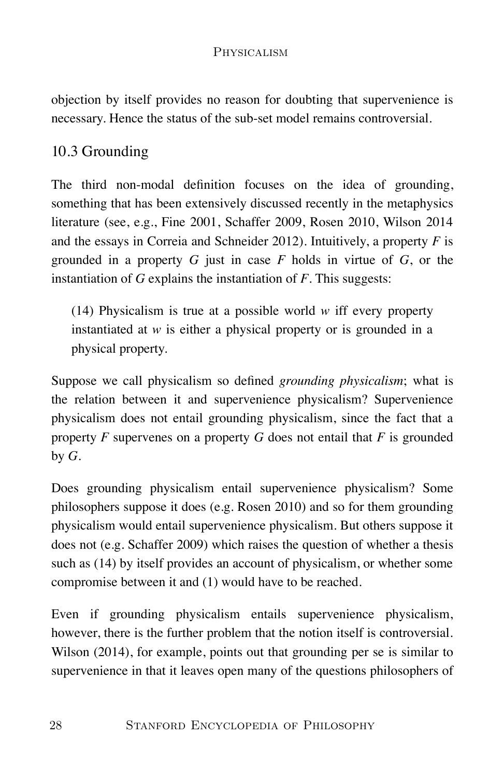objection by itself provides no reason for doubting that supervenience is necessary. Hence the status of the sub-set model remains controversial.

## 10.3 Grounding

The third non-modal definition focuses on the idea of grounding, something that has been extensively discussed recently in the metaphysics literature (see, e.g., Fine 2001, Schaffer 2009, Rosen 2010, Wilson 2014 and the essays in Correia and Schneider 2012). Intuitively, a property *F* is grounded in a property *G* just in case *F* holds in virtue of *G*, or the instantiation of *G* explains the instantiation of *F*. This suggests:

(14) Physicalism is true at a possible world *w* iff every property instantiated at *w* is either a physical property or is grounded in a physical property.

Suppose we call physicalism so defined *grounding physicalism*; what is the relation between it and supervenience physicalism? Supervenience physicalism does not entail grounding physicalism, since the fact that a property *F* supervenes on a property *G* does not entail that *F* is grounded by *G*.

Does grounding physicalism entail supervenience physicalism? Some philosophers suppose it does (e.g. Rosen 2010) and so for them grounding physicalism would entail supervenience physicalism. But others suppose it does not (e.g. Schaffer 2009) which raises the question of whether a thesis such as (14) by itself provides an account of physicalism, or whether some compromise between it and (1) would have to be reached.

Even if grounding physicalism entails supervenience physicalism, however, there is the further problem that the notion itself is controversial. Wilson (2014), for example, points out that grounding per se is similar to supervenience in that it leaves open many of the questions philosophers of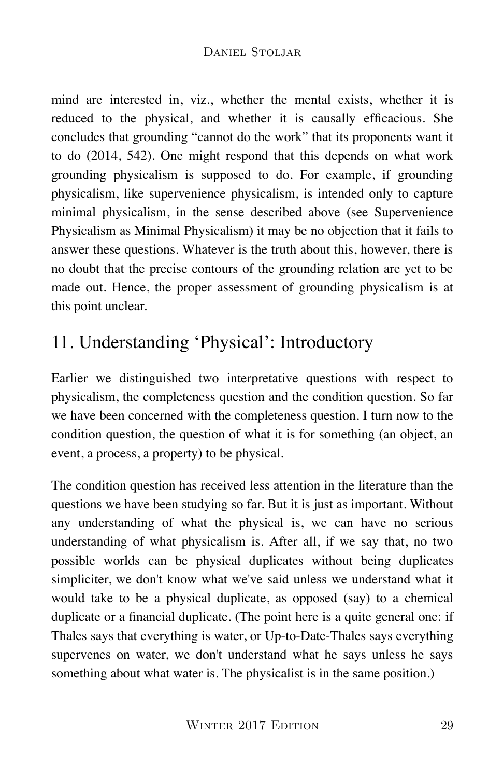mind are interested in, viz., whether the mental exists, whether it is reduced to the physical, and whether it is causally efficacious. She concludes that grounding "cannot do the work" that its proponents want it to do (2014, 542). One might respond that this depends on what work grounding physicalism is supposed to do. For example, if grounding physicalism, like supervenience physicalism, is intended only to capture minimal physicalism, in the sense described above (see Supervenience Physicalism as Minimal Physicalism) it may be no objection that it fails to answer these questions. Whatever is the truth about this, however, there is no doubt that the precise contours of the grounding relation are yet to be made out. Hence, the proper assessment of grounding physicalism is at this point unclear.

# 11. Understanding 'Physical': Introductory

Earlier we distinguished two interpretative questions with respect to physicalism, the completeness question and the condition question. So far we have been concerned with the completeness question. I turn now to the condition question, the question of what it is for something (an object, an event, a process, a property) to be physical.

The condition question has received less attention in the literature than the questions we have been studying so far. But it is just as important. Without any understanding of what the physical is, we can have no serious understanding of what physicalism is. After all, if we say that, no two possible worlds can be physical duplicates without being duplicates simpliciter, we don't know what we've said unless we understand what it would take to be a physical duplicate, as opposed (say) to a chemical duplicate or a financial duplicate. (The point here is a quite general one: if Thales says that everything is water, or Up-to-Date-Thales says everything supervenes on water, we don't understand what he says unless he says something about what water is. The physicalist is in the same position.)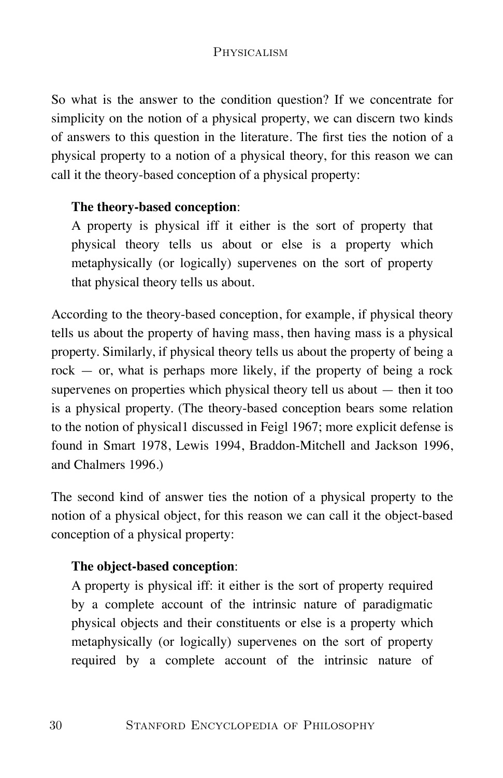So what is the answer to the condition question? If we concentrate for simplicity on the notion of a physical property, we can discern two kinds of answers to this question in the literature. The first ties the notion of a physical property to a notion of a physical theory, for this reason we can call it the theory-based conception of a physical property:

## **The theory-based conception**:

A property is physical iff it either is the sort of property that physical theory tells us about or else is a property which metaphysically (or logically) supervenes on the sort of property that physical theory tells us about.

According to the theory-based conception, for example, if physical theory tells us about the property of having mass, then having mass is a physical property. Similarly, if physical theory tells us about the property of being a  $rock - or$ , what is perhaps more likely, if the property of being a rock supervenes on properties which physical theory tell us about — then it too is a physical property. (The theory-based conception bears some relation to the notion of physical1 discussed in Feigl 1967; more explicit defense is found in Smart 1978, Lewis 1994, Braddon-Mitchell and Jackson 1996, and Chalmers 1996.)

The second kind of answer ties the notion of a physical property to the notion of a physical object, for this reason we can call it the object-based conception of a physical property:

## **The object-based conception**:

A property is physical iff: it either is the sort of property required by a complete account of the intrinsic nature of paradigmatic physical objects and their constituents or else is a property which metaphysically (or logically) supervenes on the sort of property required by a complete account of the intrinsic nature of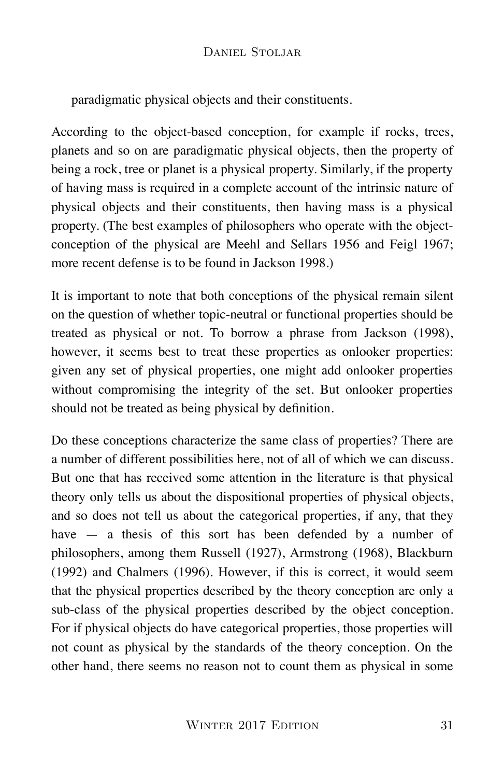### Daniel Stoljar

paradigmatic physical objects and their constituents.

According to the object-based conception, for example if rocks, trees, planets and so on are paradigmatic physical objects, then the property of being a rock, tree or planet is a physical property. Similarly, if the property of having mass is required in a complete account of the intrinsic nature of physical objects and their constituents, then having mass is a physical property. (The best examples of philosophers who operate with the objectconception of the physical are Meehl and Sellars 1956 and Feigl 1967; more recent defense is to be found in Jackson 1998.)

It is important to note that both conceptions of the physical remain silent on the question of whether topic-neutral or functional properties should be treated as physical or not. To borrow a phrase from Jackson (1998), however, it seems best to treat these properties as onlooker properties: given any set of physical properties, one might add onlooker properties without compromising the integrity of the set. But onlooker properties should not be treated as being physical by definition.

Do these conceptions characterize the same class of properties? There are a number of different possibilities here, not of all of which we can discuss. But one that has received some attention in the literature is that physical theory only tells us about the dispositional properties of physical objects, and so does not tell us about the categorical properties, if any, that they have — a thesis of this sort has been defended by a number of philosophers, among them Russell (1927), Armstrong (1968), Blackburn (1992) and Chalmers (1996). However, if this is correct, it would seem that the physical properties described by the theory conception are only a sub-class of the physical properties described by the object conception. For if physical objects do have categorical properties, those properties will not count as physical by the standards of the theory conception. On the other hand, there seems no reason not to count them as physical in some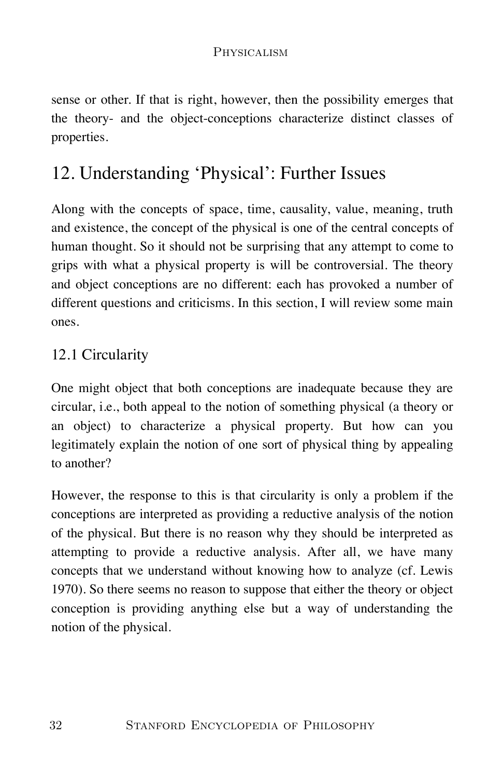sense or other. If that is right, however, then the possibility emerges that the theory- and the object-conceptions characterize distinct classes of properties.

# 12. Understanding 'Physical': Further Issues

Along with the concepts of space, time, causality, value, meaning, truth and existence, the concept of the physical is one of the central concepts of human thought. So it should not be surprising that any attempt to come to grips with what a physical property is will be controversial. The theory and object conceptions are no different: each has provoked a number of different questions and criticisms. In this section, I will review some main ones.

## 12.1 Circularity

One might object that both conceptions are inadequate because they are circular, i.e., both appeal to the notion of something physical (a theory or an object) to characterize a physical property. But how can you legitimately explain the notion of one sort of physical thing by appealing to another?

However, the response to this is that circularity is only a problem if the conceptions are interpreted as providing a reductive analysis of the notion of the physical. But there is no reason why they should be interpreted as attempting to provide a reductive analysis. After all, we have many concepts that we understand without knowing how to analyze (cf. Lewis 1970). So there seems no reason to suppose that either the theory or object conception is providing anything else but a way of understanding the notion of the physical.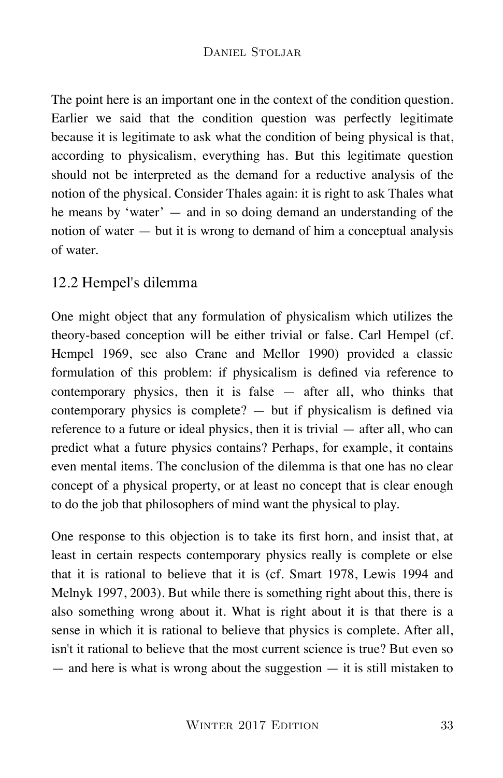The point here is an important one in the context of the condition question. Earlier we said that the condition question was perfectly legitimate because it is legitimate to ask what the condition of being physical is that, according to physicalism, everything has. But this legitimate question should not be interpreted as the demand for a reductive analysis of the notion of the physical. Consider Thales again: it is right to ask Thales what he means by 'water' — and in so doing demand an understanding of the notion of water — but it is wrong to demand of him a conceptual analysis of water.

## 12.2 Hempel's dilemma

One might object that any formulation of physicalism which utilizes the theory-based conception will be either trivial or false. Carl Hempel (cf. Hempel 1969, see also Crane and Mellor 1990) provided a classic formulation of this problem: if physicalism is defined via reference to contemporary physics, then it is false — after all, who thinks that contemporary physics is complete? — but if physicalism is defined via reference to a future or ideal physics, then it is trivial — after all, who can predict what a future physics contains? Perhaps, for example, it contains even mental items. The conclusion of the dilemma is that one has no clear concept of a physical property, or at least no concept that is clear enough to do the job that philosophers of mind want the physical to play.

One response to this objection is to take its first horn, and insist that, at least in certain respects contemporary physics really is complete or else that it is rational to believe that it is (cf. Smart 1978, Lewis 1994 and Melnyk 1997, 2003). But while there is something right about this, there is also something wrong about it. What is right about it is that there is a sense in which it is rational to believe that physics is complete. After all, isn't it rational to believe that the most current science is true? But even so — and here is what is wrong about the suggestion — it is still mistaken to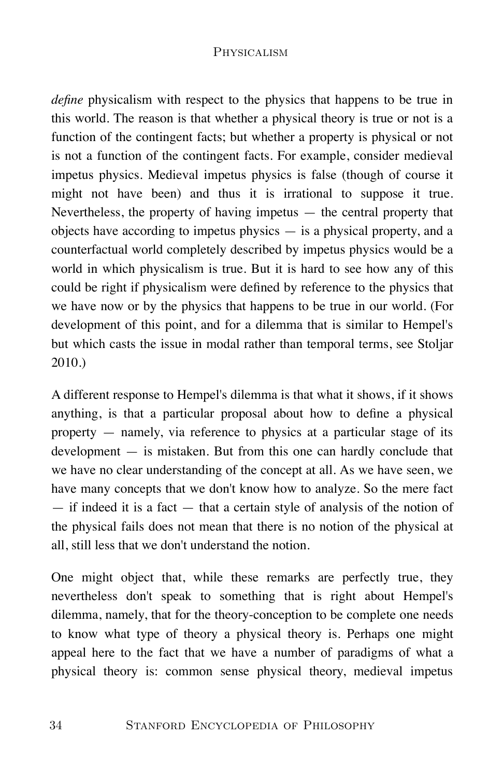*define* physicalism with respect to the physics that happens to be true in this world. The reason is that whether a physical theory is true or not is a function of the contingent facts; but whether a property is physical or not is not a function of the contingent facts. For example, consider medieval impetus physics. Medieval impetus physics is false (though of course it might not have been) and thus it is irrational to suppose it true. Nevertheless, the property of having impetus — the central property that objects have according to impetus physics — is a physical property, and a counterfactual world completely described by impetus physics would be a world in which physicalism is true. But it is hard to see how any of this could be right if physicalism were defined by reference to the physics that we have now or by the physics that happens to be true in our world. (For development of this point, and for a dilemma that is similar to Hempel's but which casts the issue in modal rather than temporal terms, see Stoljar 2010.)

A different response to Hempel's dilemma is that what it shows, if it shows anything, is that a particular proposal about how to define a physical property — namely, via reference to physics at a particular stage of its development — is mistaken. But from this one can hardly conclude that we have no clear understanding of the concept at all. As we have seen, we have many concepts that we don't know how to analyze. So the mere fact — if indeed it is a fact — that a certain style of analysis of the notion of the physical fails does not mean that there is no notion of the physical at all, still less that we don't understand the notion.

One might object that, while these remarks are perfectly true, they nevertheless don't speak to something that is right about Hempel's dilemma, namely, that for the theory-conception to be complete one needs to know what type of theory a physical theory is. Perhaps one might appeal here to the fact that we have a number of paradigms of what a physical theory is: common sense physical theory, medieval impetus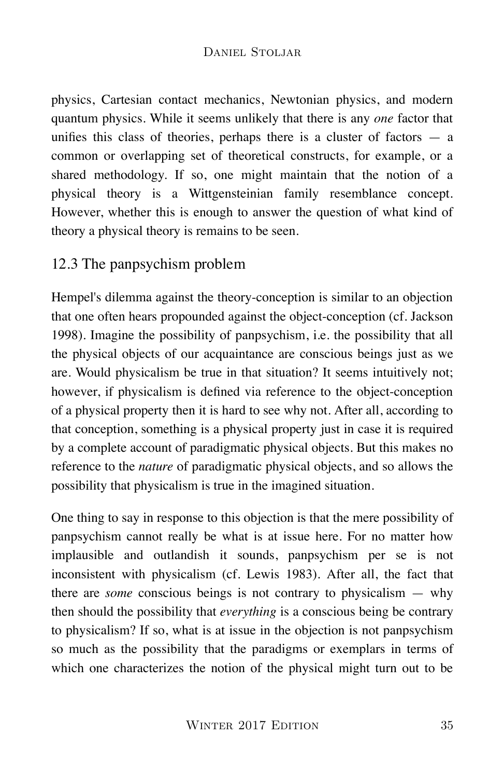physics, Cartesian contact mechanics, Newtonian physics, and modern quantum physics. While it seems unlikely that there is any *one* factor that unifies this class of theories, perhaps there is a cluster of factors — a common or overlapping set of theoretical constructs, for example, or a shared methodology. If so, one might maintain that the notion of a physical theory is a Wittgensteinian family resemblance concept. However, whether this is enough to answer the question of what kind of theory a physical theory is remains to be seen.

## 12.3 The panpsychism problem

Hempel's dilemma against the theory-conception is similar to an objection that one often hears propounded against the object-conception (cf. Jackson 1998). Imagine the possibility of panpsychism, i.e. the possibility that all the physical objects of our acquaintance are conscious beings just as we are. Would physicalism be true in that situation? It seems intuitively not; however, if physicalism is defined via reference to the object-conception of a physical property then it is hard to see why not. After all, according to that conception, something is a physical property just in case it is required by a complete account of paradigmatic physical objects. But this makes no reference to the *nature* of paradigmatic physical objects, and so allows the possibility that physicalism is true in the imagined situation.

One thing to say in response to this objection is that the mere possibility of panpsychism cannot really be what is at issue here. For no matter how implausible and outlandish it sounds, panpsychism per se is not inconsistent with physicalism (cf. Lewis 1983). After all, the fact that there are *some* conscious beings is not contrary to physicalism — why then should the possibility that *everything* is a conscious being be contrary to physicalism? If so, what is at issue in the objection is not panpsychism so much as the possibility that the paradigms or exemplars in terms of which one characterizes the notion of the physical might turn out to be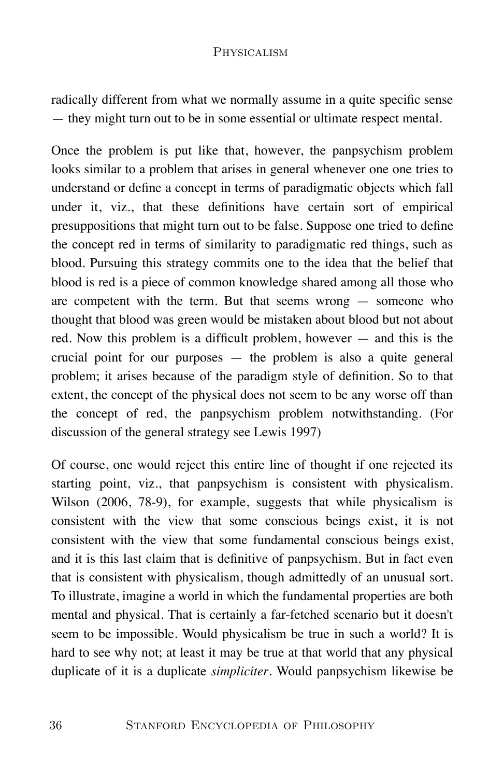radically different from what we normally assume in a quite specific sense — they might turn out to be in some essential or ultimate respect mental.

Once the problem is put like that, however, the panpsychism problem looks similar to a problem that arises in general whenever one one tries to understand or define a concept in terms of paradigmatic objects which fall under it, viz., that these definitions have certain sort of empirical presuppositions that might turn out to be false. Suppose one tried to define the concept red in terms of similarity to paradigmatic red things, such as blood. Pursuing this strategy commits one to the idea that the belief that blood is red is a piece of common knowledge shared among all those who are competent with the term. But that seems wrong — someone who thought that blood was green would be mistaken about blood but not about red. Now this problem is a difficult problem, however — and this is the crucial point for our purposes — the problem is also a quite general problem; it arises because of the paradigm style of definition. So to that extent, the concept of the physical does not seem to be any worse off than the concept of red, the panpsychism problem notwithstanding. (For discussion of the general strategy see Lewis 1997)

Of course, one would reject this entire line of thought if one rejected its starting point, viz., that panpsychism is consistent with physicalism. Wilson (2006, 78-9), for example, suggests that while physicalism is consistent with the view that some conscious beings exist, it is not consistent with the view that some fundamental conscious beings exist, and it is this last claim that is definitive of panpsychism. But in fact even that is consistent with physicalism, though admittedly of an unusual sort. To illustrate, imagine a world in which the fundamental properties are both mental and physical. That is certainly a far-fetched scenario but it doesn't seem to be impossible. Would physicalism be true in such a world? It is hard to see why not; at least it may be true at that world that any physical duplicate of it is a duplicate *simpliciter*. Would panpsychism likewise be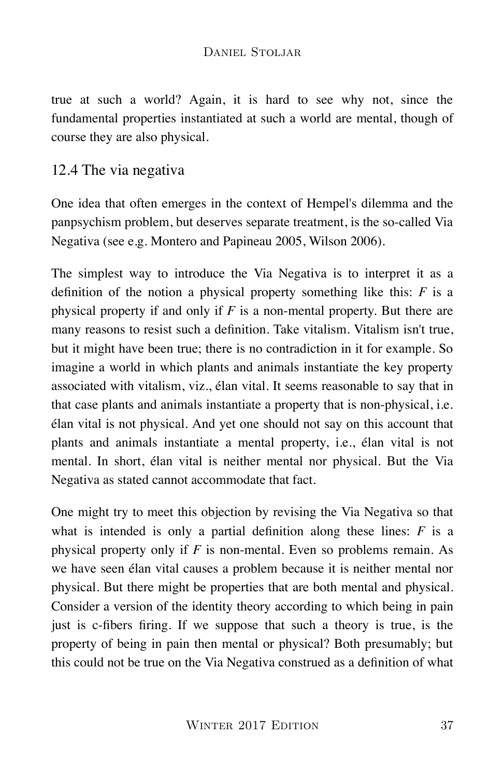true at such a world? Again, it is hard to see why not, since the fundamental properties instantiated at such a world are mental, though of course they are also physical.

## 12.4 The via negativa

One idea that often emerges in the context of Hempel's dilemma and the panpsychism problem, but deserves separate treatment, is the so-called Via Negativa (see e.g. Montero and Papineau 2005, Wilson 2006).

The simplest way to introduce the Via Negativa is to interpret it as a definition of the notion a physical property something like this: *F* is a physical property if and only if *F* is a non-mental property. But there are many reasons to resist such a definition. Take vitalism. Vitalism isn't true, but it might have been true; there is no contradiction in it for example. So imagine a world in which plants and animals instantiate the key property associated with vitalism, viz., élan vital. It seems reasonable to say that in that case plants and animals instantiate a property that is non-physical, i.e. élan vital is not physical. And yet one should not say on this account that plants and animals instantiate a mental property, i.e., élan vital is not mental. In short, élan vital is neither mental nor physical. But the Via Negativa as stated cannot accommodate that fact.

One might try to meet this objection by revising the Via Negativa so that what is intended is only a partial definition along these lines: *F* is a physical property only if *F* is non-mental. Even so problems remain. As we have seen élan vital causes a problem because it is neither mental nor physical. But there might be properties that are both mental and physical. Consider a version of the identity theory according to which being in pain just is c-fibers firing. If we suppose that such a theory is true, is the property of being in pain then mental or physical? Both presumably; but this could not be true on the Via Negativa construed as a definition of what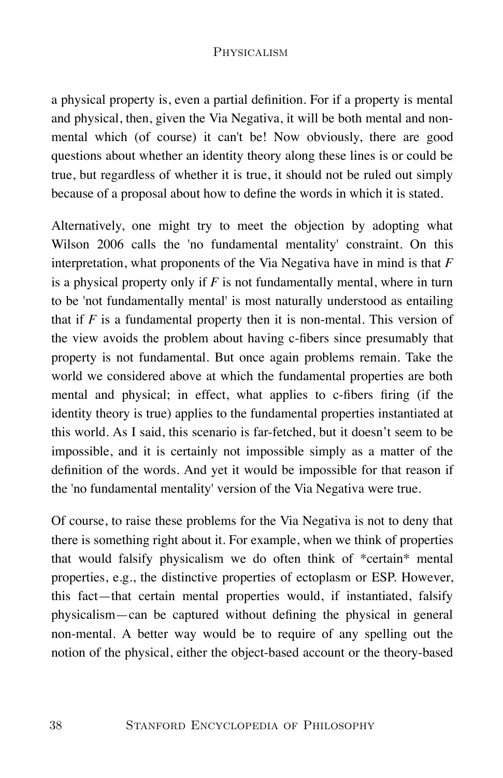a physical property is, even a partial definition. For if a property is mental and physical, then, given the Via Negativa, it will be both mental and nonmental which (of course) it can't be! Now obviously, there are good questions about whether an identity theory along these lines is or could be true, but regardless of whether it is true, it should not be ruled out simply because of a proposal about how to define the words in which it is stated.

Alternatively, one might try to meet the objection by adopting what Wilson 2006 calls the 'no fundamental mentality' constraint. On this interpretation, what proponents of the Via Negativa have in mind is that *F* is a physical property only if *F* is not fundamentally mental, where in turn to be 'not fundamentally mental' is most naturally understood as entailing that if  $F$  is a fundamental property then it is non-mental. This version of the view avoids the problem about having c-fibers since presumably that property is not fundamental. But once again problems remain. Take the world we considered above at which the fundamental properties are both mental and physical; in effect, what applies to c-fibers firing (if the identity theory is true) applies to the fundamental properties instantiated at this world. As I said, this scenario is far-fetched, but it doesn't seem to be impossible, and it is certainly not impossible simply as a matter of the definition of the words. And yet it would be impossible for that reason if the 'no fundamental mentality' version of the Via Negativa were true.

Of course, to raise these problems for the Via Negativa is not to deny that there is something right about it. For example, when we think of properties that would falsify physicalism we do often think of \*certain\* mental properties, e.g., the distinctive properties of ectoplasm or ESP. However, this fact—that certain mental properties would, if instantiated, falsify physicalism—can be captured without defining the physical in general non-mental. A better way would be to require of any spelling out the notion of the physical, either the object-based account or the theory-based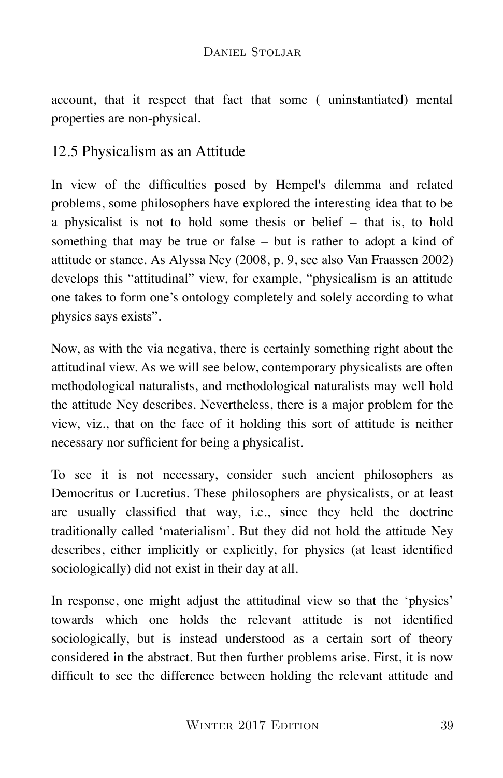account, that it respect that fact that some ( uninstantiated) mental properties are non-physical.

## 12.5 Physicalism as an Attitude

In view of the difficulties posed by Hempel's dilemma and related problems, some philosophers have explored the interesting idea that to be a physicalist is not to hold some thesis or belief – that is, to hold something that may be true or false – but is rather to adopt a kind of attitude or stance. As Alyssa Ney (2008, p. 9, see also Van Fraassen 2002) develops this "attitudinal" view, for example, "physicalism is an attitude one takes to form one's ontology completely and solely according to what physics says exists".

Now, as with the via negativa, there is certainly something right about the attitudinal view. As we will see below, contemporary physicalists are often methodological naturalists, and methodological naturalists may well hold the attitude Ney describes. Nevertheless, there is a major problem for the view, viz., that on the face of it holding this sort of attitude is neither necessary nor sufficient for being a physicalist.

To see it is not necessary, consider such ancient philosophers as Democritus or Lucretius. These philosophers are physicalists, or at least are usually classified that way, i.e., since they held the doctrine traditionally called 'materialism'. But they did not hold the attitude Ney describes, either implicitly or explicitly, for physics (at least identified sociologically) did not exist in their day at all.

In response, one might adjust the attitudinal view so that the 'physics' towards which one holds the relevant attitude is not identified sociologically, but is instead understood as a certain sort of theory considered in the abstract. But then further problems arise. First, it is now difficult to see the difference between holding the relevant attitude and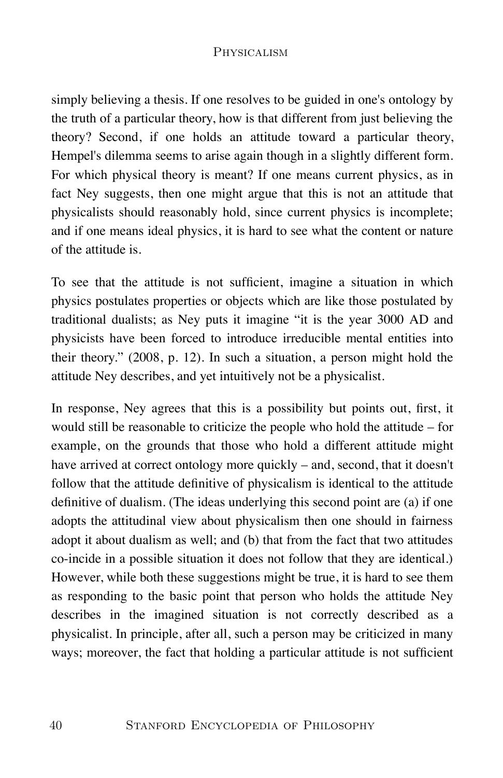simply believing a thesis. If one resolves to be guided in one's ontology by the truth of a particular theory, how is that different from just believing the theory? Second, if one holds an attitude toward a particular theory, Hempel's dilemma seems to arise again though in a slightly different form. For which physical theory is meant? If one means current physics, as in fact Ney suggests, then one might argue that this is not an attitude that physicalists should reasonably hold, since current physics is incomplete; and if one means ideal physics, it is hard to see what the content or nature of the attitude is.

To see that the attitude is not sufficient, imagine a situation in which physics postulates properties or objects which are like those postulated by traditional dualists; as Ney puts it imagine "it is the year 3000 AD and physicists have been forced to introduce irreducible mental entities into their theory." (2008, p. 12). In such a situation, a person might hold the attitude Ney describes, and yet intuitively not be a physicalist.

In response, Ney agrees that this is a possibility but points out, first, it would still be reasonable to criticize the people who hold the attitude – for example, on the grounds that those who hold a different attitude might have arrived at correct ontology more quickly – and, second, that it doesn't follow that the attitude definitive of physicalism is identical to the attitude definitive of dualism. (The ideas underlying this second point are (a) if one adopts the attitudinal view about physicalism then one should in fairness adopt it about dualism as well; and (b) that from the fact that two attitudes co-incide in a possible situation it does not follow that they are identical.) However, while both these suggestions might be true, it is hard to see them as responding to the basic point that person who holds the attitude Ney describes in the imagined situation is not correctly described as a physicalist. In principle, after all, such a person may be criticized in many ways; moreover, the fact that holding a particular attitude is not sufficient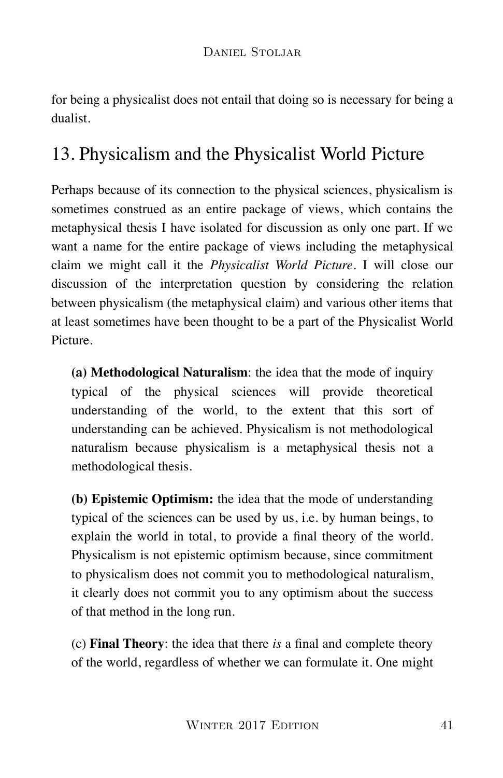for being a physicalist does not entail that doing so is necessary for being a dualist.

# 13. Physicalism and the Physicalist World Picture

Perhaps because of its connection to the physical sciences, physicalism is sometimes construed as an entire package of views, which contains the metaphysical thesis I have isolated for discussion as only one part. If we want a name for the entire package of views including the metaphysical claim we might call it the *Physicalist World Picture*. I will close our discussion of the interpretation question by considering the relation between physicalism (the metaphysical claim) and various other items that at least sometimes have been thought to be a part of the Physicalist World Picture.

**(a) Methodological Naturalism**: the idea that the mode of inquiry typical of the physical sciences will provide theoretical understanding of the world, to the extent that this sort of understanding can be achieved. Physicalism is not methodological naturalism because physicalism is a metaphysical thesis not a methodological thesis.

**(b) Epistemic Optimism:** the idea that the mode of understanding typical of the sciences can be used by us, i.e. by human beings, to explain the world in total, to provide a final theory of the world. Physicalism is not epistemic optimism because, since commitment to physicalism does not commit you to methodological naturalism, it clearly does not commit you to any optimism about the success of that method in the long run.

(c) **Final Theory**: the idea that there *is* a final and complete theory of the world, regardless of whether we can formulate it. One might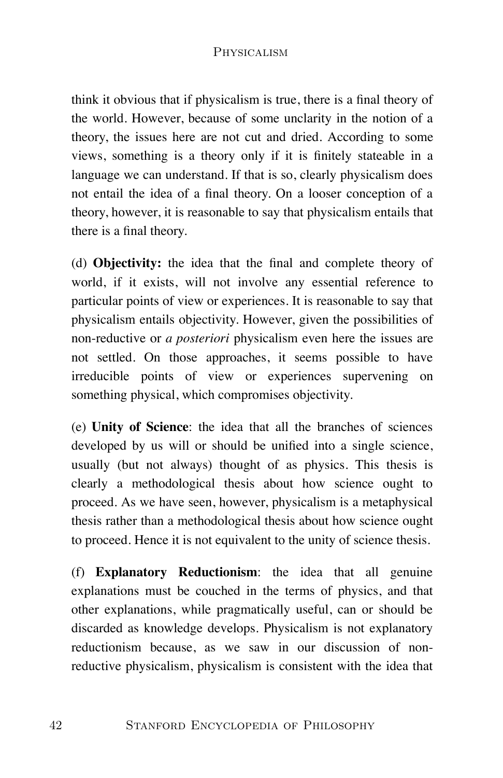think it obvious that if physicalism is true, there is a final theory of the world. However, because of some unclarity in the notion of a theory, the issues here are not cut and dried. According to some views, something is a theory only if it is finitely stateable in a language we can understand. If that is so, clearly physicalism does not entail the idea of a final theory. On a looser conception of a theory, however, it is reasonable to say that physicalism entails that there is a final theory.

(d) **Objectivity:** the idea that the final and complete theory of world, if it exists, will not involve any essential reference to particular points of view or experiences. It is reasonable to say that physicalism entails objectivity. However, given the possibilities of non-reductive or *a posteriori* physicalism even here the issues are not settled. On those approaches, it seems possible to have irreducible points of view or experiences supervening on something physical, which compromises objectivity.

(e) **Unity of Science**: the idea that all the branches of sciences developed by us will or should be unified into a single science, usually (but not always) thought of as physics. This thesis is clearly a methodological thesis about how science ought to proceed. As we have seen, however, physicalism is a metaphysical thesis rather than a methodological thesis about how science ought to proceed. Hence it is not equivalent to the unity of science thesis.

(f) **Explanatory Reductionism**: the idea that all genuine explanations must be couched in the terms of physics, and that other explanations, while pragmatically useful, can or should be discarded as knowledge develops. Physicalism is not explanatory reductionism because, as we saw in our discussion of nonreductive physicalism, physicalism is consistent with the idea that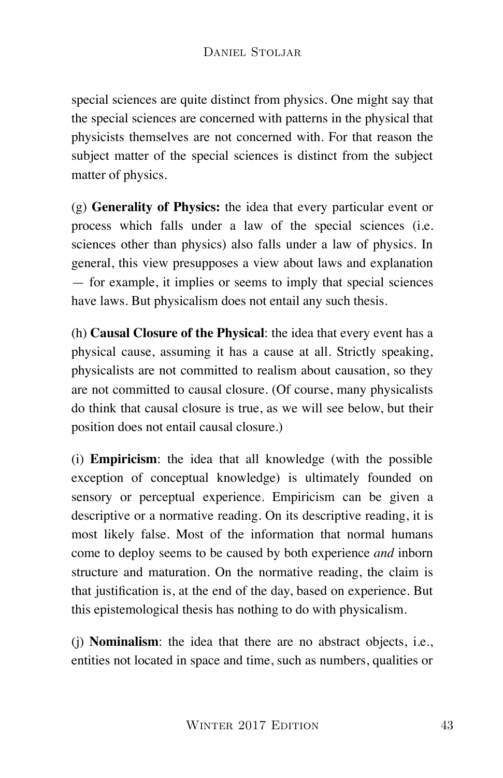special sciences are quite distinct from physics. One might say that the special sciences are concerned with patterns in the physical that physicists themselves are not concerned with. For that reason the subject matter of the special sciences is distinct from the subject matter of physics.

(g) **Generality of Physics:** the idea that every particular event or process which falls under a law of the special sciences (i.e. sciences other than physics) also falls under a law of physics. In general, this view presupposes a view about laws and explanation — for example, it implies or seems to imply that special sciences have laws. But physicalism does not entail any such thesis.

(h) **Causal Closure of the Physical**: the idea that every event has a physical cause, assuming it has a cause at all. Strictly speaking, physicalists are not committed to realism about causation, so they are not committed to causal closure. (Of course, many physicalists do think that causal closure is true, as we will see below, but their position does not entail causal closure.)

(i) **Empiricism**: the idea that all knowledge (with the possible exception of conceptual knowledge) is ultimately founded on sensory or perceptual experience. Empiricism can be given a descriptive or a normative reading. On its descriptive reading, it is most likely false. Most of the information that normal humans come to deploy seems to be caused by both experience *and* inborn structure and maturation. On the normative reading, the claim is that justification is, at the end of the day, based on experience. But this epistemological thesis has nothing to do with physicalism.

(j) **Nominalism**: the idea that there are no abstract objects, i.e., entities not located in space and time, such as numbers, qualities or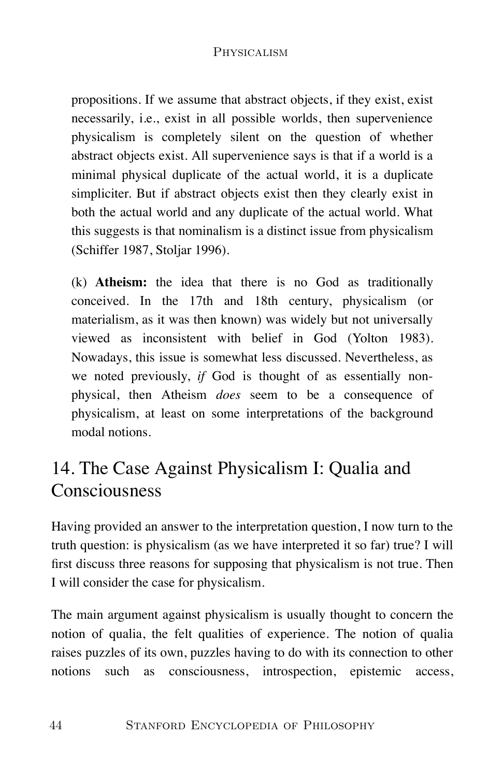propositions. If we assume that abstract objects, if they exist, exist necessarily, i.e., exist in all possible worlds, then supervenience physicalism is completely silent on the question of whether abstract objects exist. All supervenience says is that if a world is a minimal physical duplicate of the actual world, it is a duplicate simpliciter. But if abstract objects exist then they clearly exist in both the actual world and any duplicate of the actual world. What this suggests is that nominalism is a distinct issue from physicalism (Schiffer 1987, Stoljar 1996).

(k) **Atheism:** the idea that there is no God as traditionally conceived. In the 17th and 18th century, physicalism (or materialism, as it was then known) was widely but not universally viewed as inconsistent with belief in God (Yolton 1983). Nowadays, this issue is somewhat less discussed. Nevertheless, as we noted previously, *if* God is thought of as essentially nonphysical, then Atheism *does* seem to be a consequence of physicalism, at least on some interpretations of the background modal notions.

# 14. The Case Against Physicalism I: Qualia and Consciousness

Having provided an answer to the interpretation question, I now turn to the truth question: is physicalism (as we have interpreted it so far) true? I will first discuss three reasons for supposing that physicalism is not true. Then I will consider the case for physicalism.

The main argument against physicalism is usually thought to concern the notion of qualia, the felt qualities of experience. The notion of qualia raises puzzles of its own, puzzles having to do with its connection to other notions such as consciousness, introspection, epistemic access,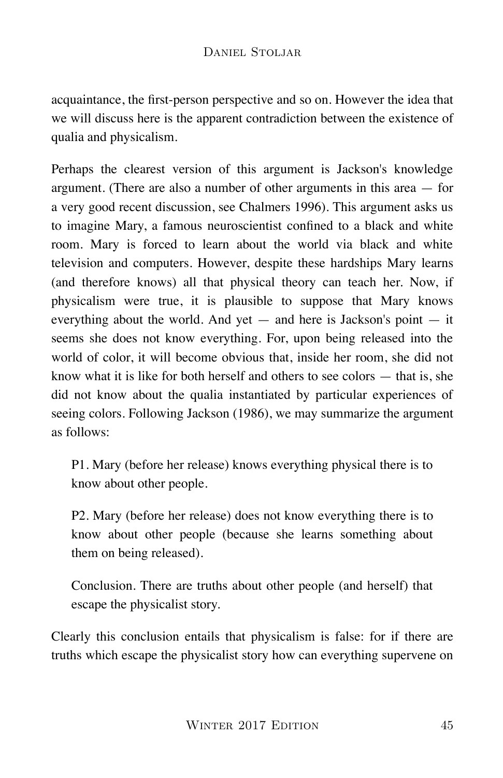acquaintance, the first-person perspective and so on. However the idea that we will discuss here is the apparent contradiction between the existence of qualia and physicalism.

Perhaps the clearest version of this argument is Jackson's knowledge argument. (There are also a number of other arguments in this area — for a very good recent discussion, see Chalmers 1996). This argument asks us to imagine Mary, a famous neuroscientist confined to a black and white room. Mary is forced to learn about the world via black and white television and computers. However, despite these hardships Mary learns (and therefore knows) all that physical theory can teach her. Now, if physicalism were true, it is plausible to suppose that Mary knows everything about the world. And yet — and here is Jackson's point — it seems she does not know everything. For, upon being released into the world of color, it will become obvious that, inside her room, she did not know what it is like for both herself and others to see colors — that is, she did not know about the qualia instantiated by particular experiences of seeing colors. Following Jackson (1986), we may summarize the argument as follows:

P1. Mary (before her release) knows everything physical there is to know about other people.

P2. Mary (before her release) does not know everything there is to know about other people (because she learns something about them on being released).

Conclusion. There are truths about other people (and herself) that escape the physicalist story.

Clearly this conclusion entails that physicalism is false: for if there are truths which escape the physicalist story how can everything supervene on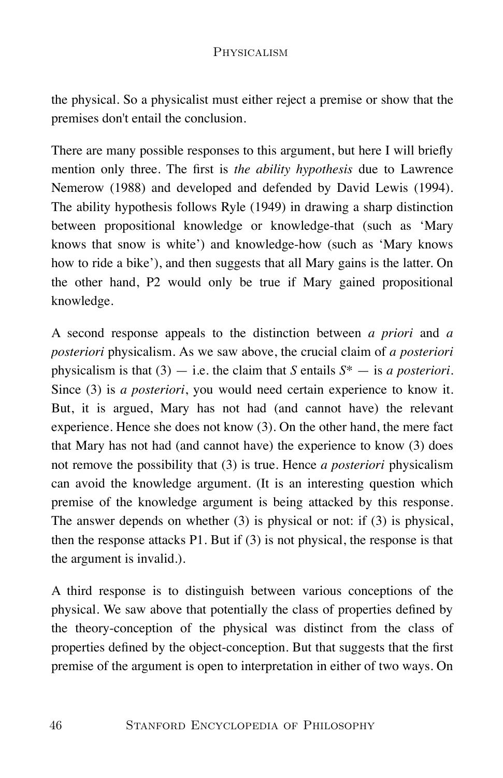the physical. So a physicalist must either reject a premise or show that the premises don't entail the conclusion.

There are many possible responses to this argument, but here I will briefly mention only three. The first is *the ability hypothesis* due to Lawrence Nemerow (1988) and developed and defended by David Lewis (1994). The ability hypothesis follows Ryle (1949) in drawing a sharp distinction between propositional knowledge or knowledge-that (such as 'Mary knows that snow is white') and knowledge-how (such as 'Mary knows how to ride a bike'), and then suggests that all Mary gains is the latter. On the other hand, P2 would only be true if Mary gained propositional knowledge.

A second response appeals to the distinction between *a priori* and *a posteriori* physicalism. As we saw above, the crucial claim of *a posteriori* physicalism is that  $(3)$  — i.e. the claim that *S* entails  $S^*$  — is *a posteriori*. Since (3) is *a posteriori*, you would need certain experience to know it. But, it is argued, Mary has not had (and cannot have) the relevant experience. Hence she does not know (3). On the other hand, the mere fact that Mary has not had (and cannot have) the experience to know (3) does not remove the possibility that (3) is true. Hence *a posteriori* physicalism can avoid the knowledge argument. (It is an interesting question which premise of the knowledge argument is being attacked by this response. The answer depends on whether (3) is physical or not: if (3) is physical, then the response attacks P1. But if (3) is not physical, the response is that the argument is invalid.).

A third response is to distinguish between various conceptions of the physical. We saw above that potentially the class of properties defined by the theory-conception of the physical was distinct from the class of properties defined by the object-conception. But that suggests that the first premise of the argument is open to interpretation in either of two ways. On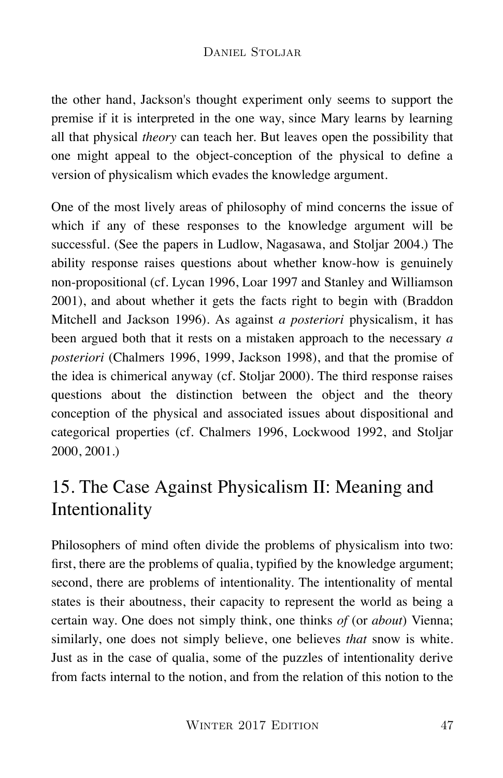## Daniel Stoljar

the other hand, Jackson's thought experiment only seems to support the premise if it is interpreted in the one way, since Mary learns by learning all that physical *theory* can teach her. But leaves open the possibility that one might appeal to the object-conception of the physical to define a version of physicalism which evades the knowledge argument.

One of the most lively areas of philosophy of mind concerns the issue of which if any of these responses to the knowledge argument will be successful. (See the papers in Ludlow, Nagasawa, and Stoljar 2004.) The ability response raises questions about whether know-how is genuinely non-propositional (cf. Lycan 1996, Loar 1997 and Stanley and Williamson 2001), and about whether it gets the facts right to begin with (Braddon Mitchell and Jackson 1996). As against *a posteriori* physicalism, it has been argued both that it rests on a mistaken approach to the necessary *a posteriori* (Chalmers 1996, 1999, Jackson 1998), and that the promise of the idea is chimerical anyway (cf. Stoljar 2000). The third response raises questions about the distinction between the object and the theory conception of the physical and associated issues about dispositional and categorical properties (cf. Chalmers 1996, Lockwood 1992, and Stoljar 2000, 2001.)

# 15. The Case Against Physicalism II: Meaning and Intentionality

Philosophers of mind often divide the problems of physicalism into two: first, there are the problems of qualia, typified by the knowledge argument; second, there are problems of intentionality. The intentionality of mental states is their aboutness, their capacity to represent the world as being a certain way. One does not simply think, one thinks *of* (or *about*) Vienna; similarly, one does not simply believe, one believes *that* snow is white. Just as in the case of qualia, some of the puzzles of intentionality derive from facts internal to the notion, and from the relation of this notion to the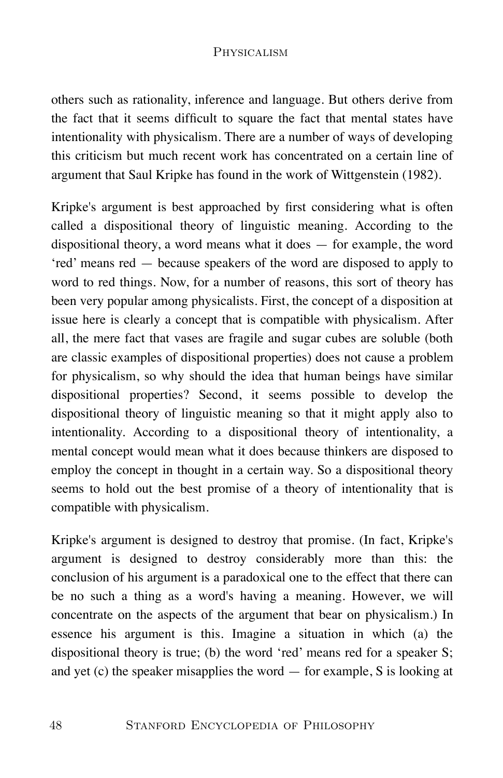others such as rationality, inference and language. But others derive from the fact that it seems difficult to square the fact that mental states have intentionality with physicalism. There are a number of ways of developing this criticism but much recent work has concentrated on a certain line of argument that Saul Kripke has found in the work of Wittgenstein (1982).

Kripke's argument is best approached by first considering what is often called a dispositional theory of linguistic meaning. According to the dispositional theory, a word means what it does — for example, the word 'red' means red — because speakers of the word are disposed to apply to word to red things. Now, for a number of reasons, this sort of theory has been very popular among physicalists. First, the concept of a disposition at issue here is clearly a concept that is compatible with physicalism. After all, the mere fact that vases are fragile and sugar cubes are soluble (both are classic examples of dispositional properties) does not cause a problem for physicalism, so why should the idea that human beings have similar dispositional properties? Second, it seems possible to develop the dispositional theory of linguistic meaning so that it might apply also to intentionality. According to a dispositional theory of intentionality, a mental concept would mean what it does because thinkers are disposed to employ the concept in thought in a certain way. So a dispositional theory seems to hold out the best promise of a theory of intentionality that is compatible with physicalism.

Kripke's argument is designed to destroy that promise. (In fact, Kripke's argument is designed to destroy considerably more than this: the conclusion of his argument is a paradoxical one to the effect that there can be no such a thing as a word's having a meaning. However, we will concentrate on the aspects of the argument that bear on physicalism.) In essence his argument is this. Imagine a situation in which (a) the dispositional theory is true; (b) the word 'red' means red for a speaker S; and yet (c) the speaker misapplies the word — for example, S is looking at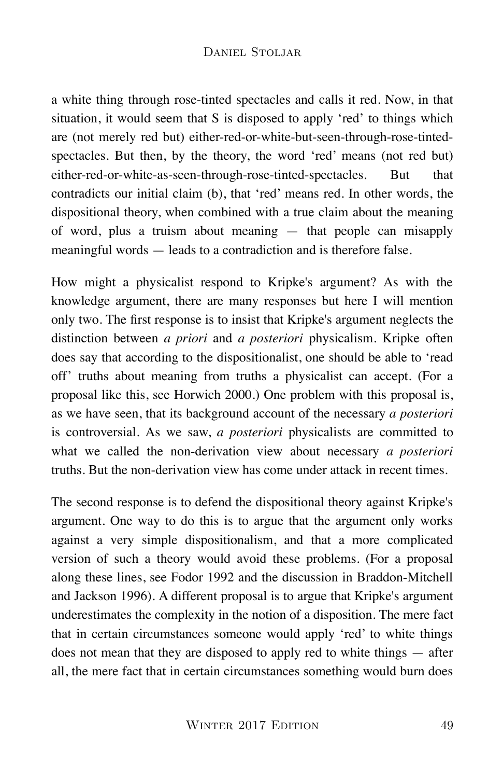a white thing through rose-tinted spectacles and calls it red. Now, in that situation, it would seem that S is disposed to apply 'red' to things which are (not merely red but) either-red-or-white-but-seen-through-rose-tintedspectacles. But then, by the theory, the word 'red' means (not red but) either-red-or-white-as-seen-through-rose-tinted-spectacles. But that contradicts our initial claim (b), that 'red' means red. In other words, the dispositional theory, when combined with a true claim about the meaning of word, plus a truism about meaning — that people can misapply meaningful words — leads to a contradiction and is therefore false.

How might a physicalist respond to Kripke's argument? As with the knowledge argument, there are many responses but here I will mention only two. The first response is to insist that Kripke's argument neglects the distinction between *a priori* and *a posteriori* physicalism. Kripke often does say that according to the dispositionalist, one should be able to 'read off' truths about meaning from truths a physicalist can accept. (For a proposal like this, see Horwich 2000.) One problem with this proposal is, as we have seen, that its background account of the necessary *a posteriori* is controversial. As we saw, *a posteriori* physicalists are committed to what we called the non-derivation view about necessary *a posteriori* truths. But the non-derivation view has come under attack in recent times.

The second response is to defend the dispositional theory against Kripke's argument. One way to do this is to argue that the argument only works against a very simple dispositionalism, and that a more complicated version of such a theory would avoid these problems. (For a proposal along these lines, see Fodor 1992 and the discussion in Braddon-Mitchell and Jackson 1996). A different proposal is to argue that Kripke's argument underestimates the complexity in the notion of a disposition. The mere fact that in certain circumstances someone would apply 'red' to white things does not mean that they are disposed to apply red to white things — after all, the mere fact that in certain circumstances something would burn does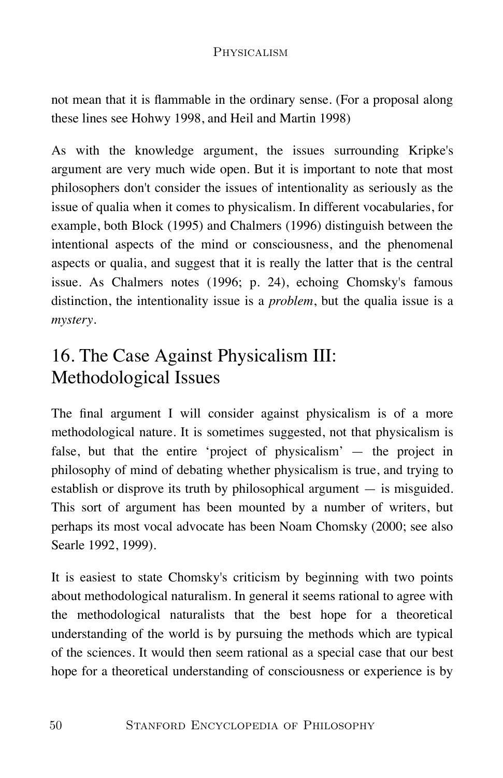not mean that it is flammable in the ordinary sense. (For a proposal along these lines see Hohwy 1998, and Heil and Martin 1998)

As with the knowledge argument, the issues surrounding Kripke's argument are very much wide open. But it is important to note that most philosophers don't consider the issues of intentionality as seriously as the issue of qualia when it comes to physicalism. In different vocabularies, for example, both Block (1995) and Chalmers (1996) distinguish between the intentional aspects of the mind or consciousness, and the phenomenal aspects or qualia, and suggest that it is really the latter that is the central issue. As Chalmers notes (1996; p. 24), echoing Chomsky's famous distinction, the intentionality issue is a *problem*, but the qualia issue is a *mystery*.

# 16. The Case Against Physicalism III: Methodological Issues

The final argument I will consider against physicalism is of a more methodological nature. It is sometimes suggested, not that physicalism is false, but that the entire 'project of physicalism' — the project in philosophy of mind of debating whether physicalism is true, and trying to establish or disprove its truth by philosophical argument — is misguided. This sort of argument has been mounted by a number of writers, but perhaps its most vocal advocate has been Noam Chomsky (2000; see also Searle 1992, 1999).

It is easiest to state Chomsky's criticism by beginning with two points about methodological naturalism. In general it seems rational to agree with the methodological naturalists that the best hope for a theoretical understanding of the world is by pursuing the methods which are typical of the sciences. It would then seem rational as a special case that our best hope for a theoretical understanding of consciousness or experience is by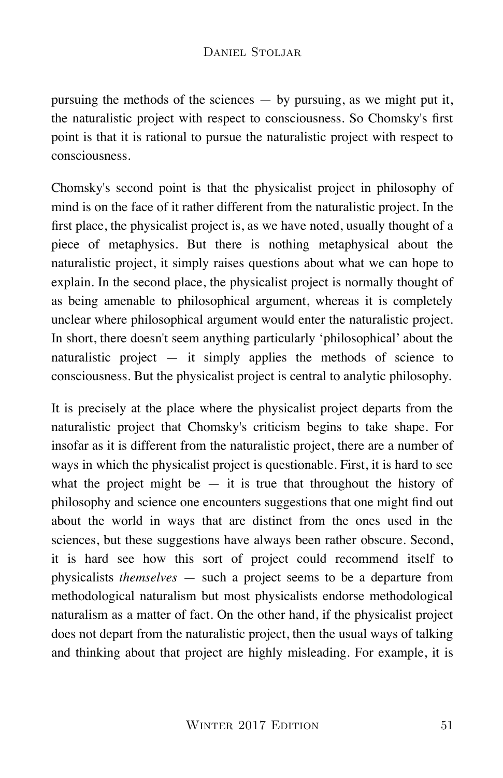pursuing the methods of the sciences — by pursuing, as we might put it, the naturalistic project with respect to consciousness. So Chomsky's first point is that it is rational to pursue the naturalistic project with respect to consciousness.

Chomsky's second point is that the physicalist project in philosophy of mind is on the face of it rather different from the naturalistic project. In the first place, the physicalist project is, as we have noted, usually thought of a piece of metaphysics. But there is nothing metaphysical about the naturalistic project, it simply raises questions about what we can hope to explain. In the second place, the physicalist project is normally thought of as being amenable to philosophical argument, whereas it is completely unclear where philosophical argument would enter the naturalistic project. In short, there doesn't seem anything particularly 'philosophical' about the naturalistic project — it simply applies the methods of science to consciousness. But the physicalist project is central to analytic philosophy.

It is precisely at the place where the physicalist project departs from the naturalistic project that Chomsky's criticism begins to take shape. For insofar as it is different from the naturalistic project, there are a number of ways in which the physicalist project is questionable. First, it is hard to see what the project might be  $-$  it is true that throughout the history of philosophy and science one encounters suggestions that one might find out about the world in ways that are distinct from the ones used in the sciences, but these suggestions have always been rather obscure. Second, it is hard see how this sort of project could recommend itself to physicalists *themselves* — such a project seems to be a departure from methodological naturalism but most physicalists endorse methodological naturalism as a matter of fact. On the other hand, if the physicalist project does not depart from the naturalistic project, then the usual ways of talking and thinking about that project are highly misleading. For example, it is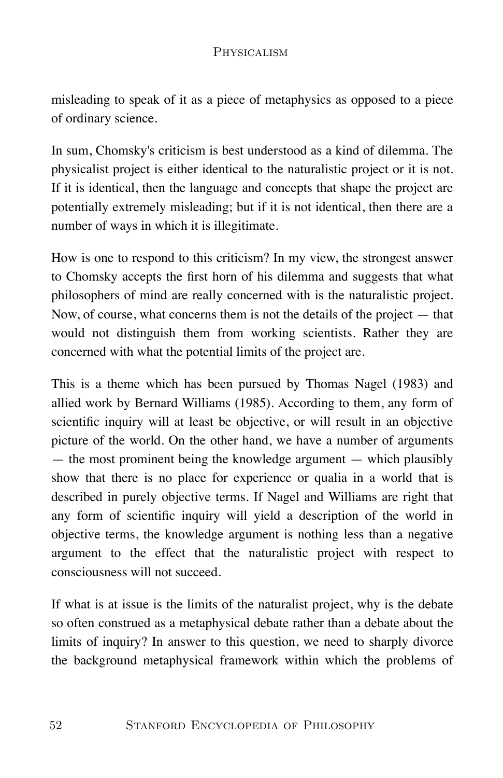misleading to speak of it as a piece of metaphysics as opposed to a piece of ordinary science.

In sum, Chomsky's criticism is best understood as a kind of dilemma. The physicalist project is either identical to the naturalistic project or it is not. If it is identical, then the language and concepts that shape the project are potentially extremely misleading; but if it is not identical, then there are a number of ways in which it is illegitimate.

How is one to respond to this criticism? In my view, the strongest answer to Chomsky accepts the first horn of his dilemma and suggests that what philosophers of mind are really concerned with is the naturalistic project. Now, of course, what concerns them is not the details of the project — that would not distinguish them from working scientists. Rather they are concerned with what the potential limits of the project are.

This is a theme which has been pursued by Thomas Nagel (1983) and allied work by Bernard Williams (1985). According to them, any form of scientific inquiry will at least be objective, or will result in an objective picture of the world. On the other hand, we have a number of arguments — the most prominent being the knowledge argument — which plausibly show that there is no place for experience or qualia in a world that is described in purely objective terms. If Nagel and Williams are right that any form of scientific inquiry will yield a description of the world in objective terms, the knowledge argument is nothing less than a negative argument to the effect that the naturalistic project with respect to consciousness will not succeed.

If what is at issue is the limits of the naturalist project, why is the debate so often construed as a metaphysical debate rather than a debate about the limits of inquiry? In answer to this question, we need to sharply divorce the background metaphysical framework within which the problems of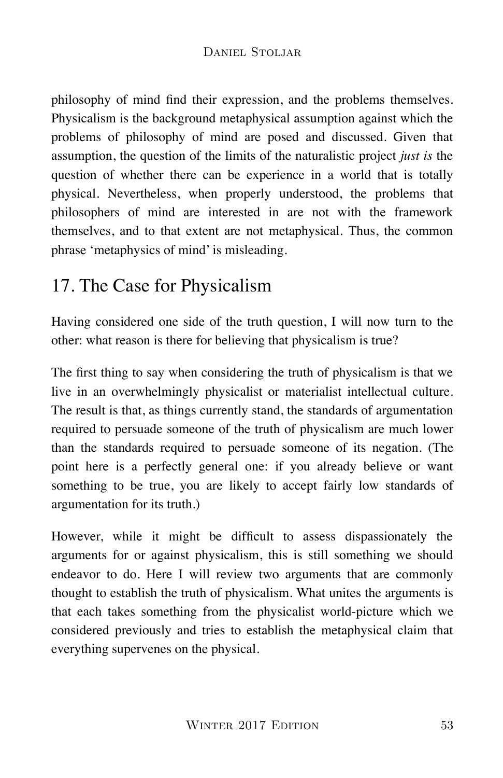philosophy of mind find their expression, and the problems themselves. Physicalism is the background metaphysical assumption against which the problems of philosophy of mind are posed and discussed. Given that assumption, the question of the limits of the naturalistic project *just is* the question of whether there can be experience in a world that is totally physical. Nevertheless, when properly understood, the problems that philosophers of mind are interested in are not with the framework themselves, and to that extent are not metaphysical. Thus, the common phrase 'metaphysics of mind' is misleading.

# 17. The Case for Physicalism

Having considered one side of the truth question, I will now turn to the other: what reason is there for believing that physicalism is true?

The first thing to say when considering the truth of physicalism is that we live in an overwhelmingly physicalist or materialist intellectual culture. The result is that, as things currently stand, the standards of argumentation required to persuade someone of the truth of physicalism are much lower than the standards required to persuade someone of its negation. (The point here is a perfectly general one: if you already believe or want something to be true, you are likely to accept fairly low standards of argumentation for its truth.)

However, while it might be difficult to assess dispassionately the arguments for or against physicalism, this is still something we should endeavor to do. Here I will review two arguments that are commonly thought to establish the truth of physicalism. What unites the arguments is that each takes something from the physicalist world-picture which we considered previously and tries to establish the metaphysical claim that everything supervenes on the physical.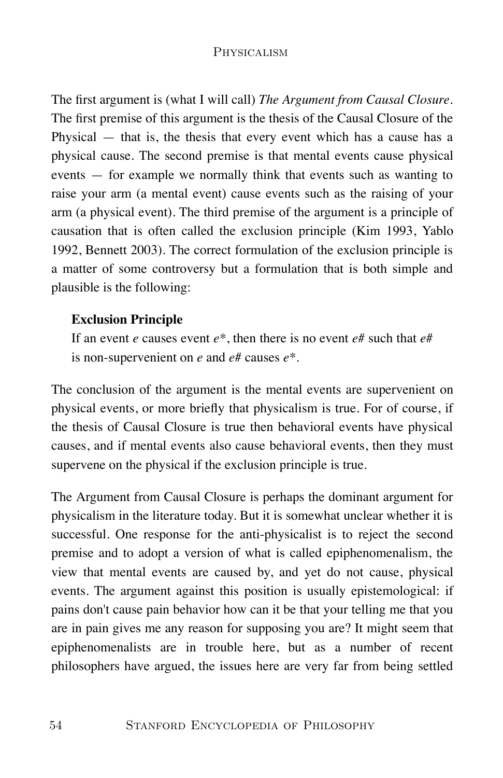The first argument is (what I will call) *The Argument from Causal Closure*. The first premise of this argument is the thesis of the Causal Closure of the Physical — that is, the thesis that every event which has a cause has a physical cause. The second premise is that mental events cause physical events — for example we normally think that events such as wanting to raise your arm (a mental event) cause events such as the raising of your arm (a physical event). The third premise of the argument is a principle of causation that is often called the exclusion principle (Kim 1993, Yablo 1992, Bennett 2003). The correct formulation of the exclusion principle is a matter of some controversy but a formulation that is both simple and plausible is the following:

## **Exclusion Principle**

If an event *e* causes event *e\**, then there is no event *e#* such that *e#* is non-supervenient on *e* and *e#* causes *e\**.

The conclusion of the argument is the mental events are supervenient on physical events, or more briefly that physicalism is true. For of course, if the thesis of Causal Closure is true then behavioral events have physical causes, and if mental events also cause behavioral events, then they must supervene on the physical if the exclusion principle is true.

The Argument from Causal Closure is perhaps the dominant argument for physicalism in the literature today. But it is somewhat unclear whether it is successful. One response for the anti-physicalist is to reject the second premise and to adopt a version of what is called epiphenomenalism, the view that mental events are caused by, and yet do not cause, physical events. The argument against this position is usually epistemological: if pains don't cause pain behavior how can it be that your telling me that you are in pain gives me any reason for supposing you are? It might seem that epiphenomenalists are in trouble here, but as a number of recent philosophers have argued, the issues here are very far from being settled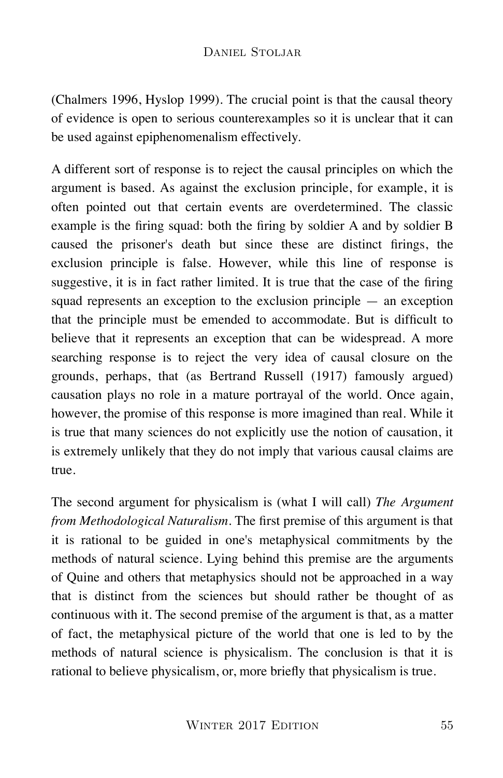(Chalmers 1996, Hyslop 1999). The crucial point is that the causal theory of evidence is open to serious counterexamples so it is unclear that it can be used against epiphenomenalism effectively.

A different sort of response is to reject the causal principles on which the argument is based. As against the exclusion principle, for example, it is often pointed out that certain events are overdetermined. The classic example is the firing squad: both the firing by soldier A and by soldier B caused the prisoner's death but since these are distinct firings, the exclusion principle is false. However, while this line of response is suggestive, it is in fact rather limited. It is true that the case of the firing squad represents an exception to the exclusion principle — an exception that the principle must be emended to accommodate. But is difficult to believe that it represents an exception that can be widespread. A more searching response is to reject the very idea of causal closure on the grounds, perhaps, that (as Bertrand Russell (1917) famously argued) causation plays no role in a mature portrayal of the world. Once again, however, the promise of this response is more imagined than real. While it is true that many sciences do not explicitly use the notion of causation, it is extremely unlikely that they do not imply that various causal claims are true.

The second argument for physicalism is (what I will call) *The Argument from Methodological Naturalism*. The first premise of this argument is that it is rational to be guided in one's metaphysical commitments by the methods of natural science. Lying behind this premise are the arguments of Quine and others that metaphysics should not be approached in a way that is distinct from the sciences but should rather be thought of as continuous with it. The second premise of the argument is that, as a matter of fact, the metaphysical picture of the world that one is led to by the methods of natural science is physicalism. The conclusion is that it is rational to believe physicalism, or, more briefly that physicalism is true.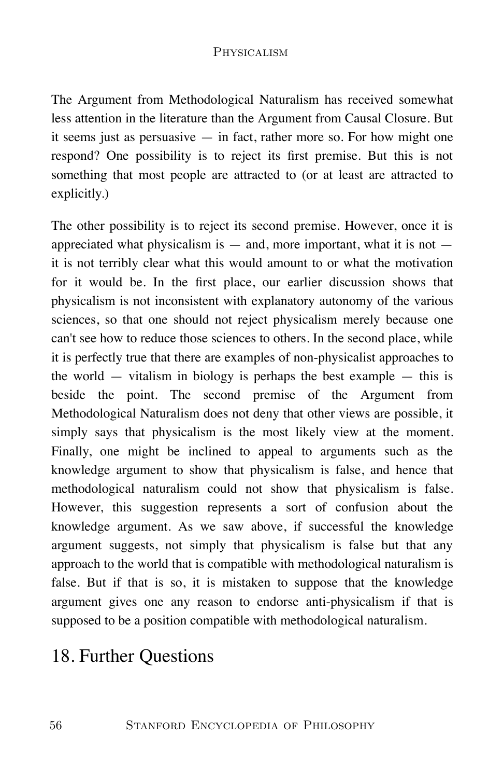The Argument from Methodological Naturalism has received somewhat less attention in the literature than the Argument from Causal Closure. But it seems just as persuasive  $-$  in fact, rather more so. For how might one respond? One possibility is to reject its first premise. But this is not something that most people are attracted to (or at least are attracted to explicitly.)

The other possibility is to reject its second premise. However, once it is appreciated what physicalism is  $-$  and, more important, what it is not  $$ it is not terribly clear what this would amount to or what the motivation for it would be. In the first place, our earlier discussion shows that physicalism is not inconsistent with explanatory autonomy of the various sciences, so that one should not reject physicalism merely because one can't see how to reduce those sciences to others. In the second place, while it is perfectly true that there are examples of non-physicalist approaches to the world  $-$  vitalism in biology is perhaps the best example  $-$  this is beside the point. The second premise of the Argument from Methodological Naturalism does not deny that other views are possible, it simply says that physicalism is the most likely view at the moment. Finally, one might be inclined to appeal to arguments such as the knowledge argument to show that physicalism is false, and hence that methodological naturalism could not show that physicalism is false. However, this suggestion represents a sort of confusion about the knowledge argument. As we saw above, if successful the knowledge argument suggests, not simply that physicalism is false but that any approach to the world that is compatible with methodological naturalism is false. But if that is so, it is mistaken to suppose that the knowledge argument gives one any reason to endorse anti-physicalism if that is supposed to be a position compatible with methodological naturalism.

## 18. Further Questions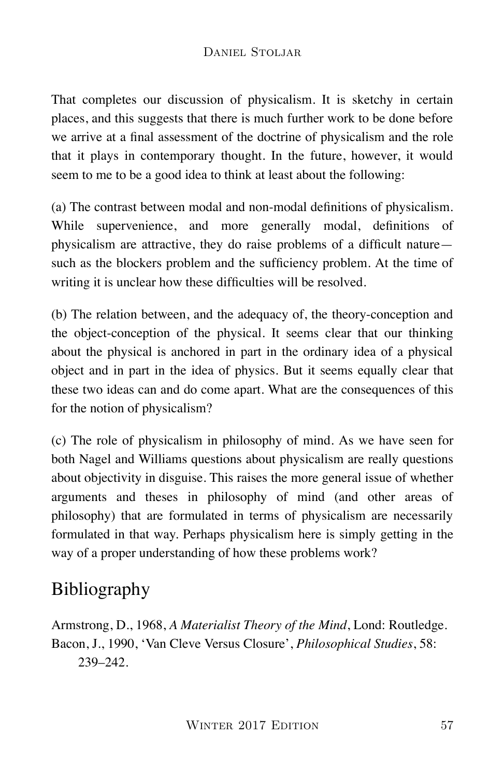That completes our discussion of physicalism. It is sketchy in certain places, and this suggests that there is much further work to be done before we arrive at a final assessment of the doctrine of physicalism and the role that it plays in contemporary thought. In the future, however, it would seem to me to be a good idea to think at least about the following:

(a) The contrast between modal and non-modal definitions of physicalism. While supervenience, and more generally modal, definitions of physicalism are attractive, they do raise problems of a difficult nature such as the blockers problem and the sufficiency problem. At the time of writing it is unclear how these difficulties will be resolved.

(b) The relation between, and the adequacy of, the theory-conception and the object-conception of the physical. It seems clear that our thinking about the physical is anchored in part in the ordinary idea of a physical object and in part in the idea of physics. But it seems equally clear that these two ideas can and do come apart. What are the consequences of this for the notion of physicalism?

(c) The role of physicalism in philosophy of mind. As we have seen for both Nagel and Williams questions about physicalism are really questions about objectivity in disguise. This raises the more general issue of whether arguments and theses in philosophy of mind (and other areas of philosophy) that are formulated in terms of physicalism are necessarily formulated in that way. Perhaps physicalism here is simply getting in the way of a proper understanding of how these problems work?

# Bibliography

Armstrong, D., 1968, *A Materialist Theory of the Mind*, Lond: Routledge. Bacon, J., 1990, 'Van Cleve Versus Closure', *Philosophical Studies*, 58: 239–242.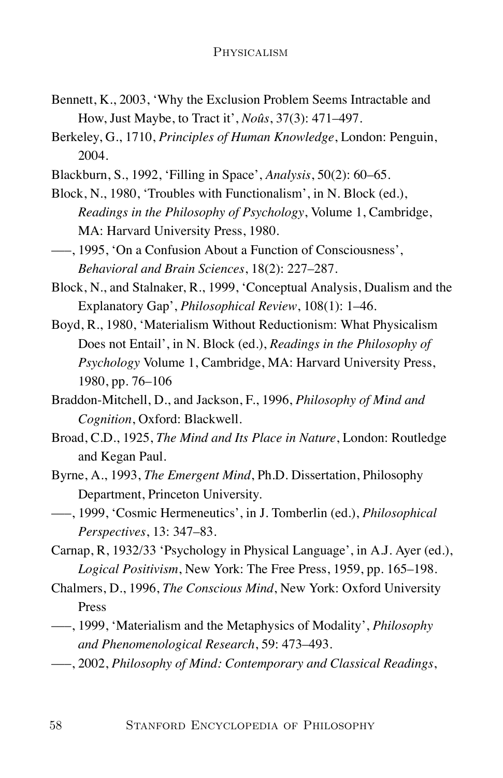- Bennett, K., 2003, 'Why the Exclusion Problem Seems Intractable and How, Just Maybe, to Tract it', *Noûs*, 37(3): 471–497.
- Berkeley, G., 1710, *Principles of Human Knowledge*, London: Penguin, 2004.
- Blackburn, S., 1992, 'Filling in Space', *Analysis*, 50(2): 60–65.
- Block, N., 1980, 'Troubles with Functionalism', in N. Block (ed.), *Readings in the Philosophy of Psychology*, Volume 1, Cambridge, MA: Harvard University Press, 1980.
- –––, 1995, 'On a Confusion About a Function of Consciousness', *Behavioral and Brain Sciences*, 18(2): 227–287.
- Block, N., and Stalnaker, R., 1999, 'Conceptual Analysis, Dualism and the Explanatory Gap', *Philosophical Review*, 108(1): 1–46.
- Boyd, R., 1980, 'Materialism Without Reductionism: What Physicalism Does not Entail', in N. Block (ed.), *Readings in the Philosophy of Psychology* Volume 1, Cambridge, MA: Harvard University Press, 1980, pp. 76–106
- Braddon-Mitchell, D., and Jackson, F., 1996, *Philosophy of Mind and Cognition*, Oxford: Blackwell.
- Broad, C.D., 1925, *The Mind and Its Place in Nature*, London: Routledge and Kegan Paul.
- Byrne, A., 1993, *The Emergent Mind*, Ph.D. Dissertation, Philosophy Department, Princeton University.
- –––, 1999, 'Cosmic Hermeneutics', in J. Tomberlin (ed.), *Philosophical Perspectives*, 13: 347–83.
- Carnap, R, 1932/33 'Psychology in Physical Language', in A.J. Ayer (ed.), *Logical Positivism*, New York: The Free Press, 1959, pp. 165–198.
- Chalmers, D., 1996, *The Conscious Mind*, New York: Oxford University Press
- –––, 1999, 'Materialism and the Metaphysics of Modality', *Philosophy and Phenomenological Research*, 59: 473–493.
- –––, 2002, *Philosophy of Mind: Contemporary and Classical Readings*,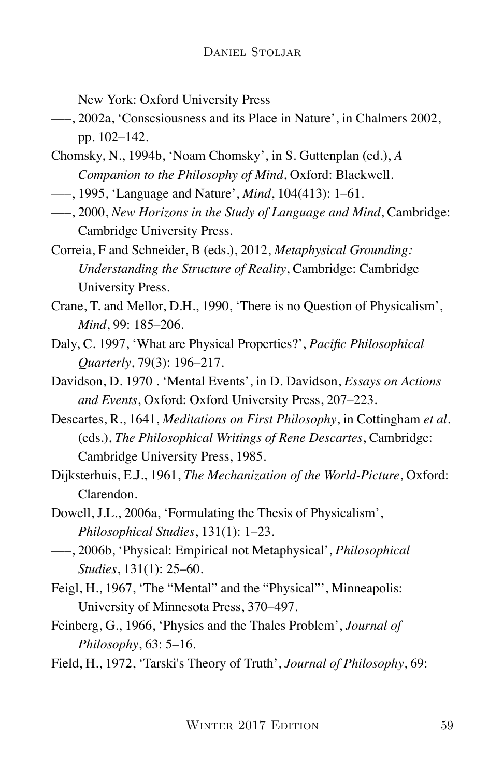New York: Oxford University Press

- –––, 2002a, 'Conscsiousness and its Place in Nature', in Chalmers 2002, pp. 102–142.
- Chomsky, N., 1994b, 'Noam Chomsky', in S. Guttenplan (ed.), *A Companion to the Philosophy of Mind*, Oxford: Blackwell.
- –––, 1995, 'Language and Nature', *Mind*, 104(413): 1–61.
- –––, 2000, *New Horizons in the Study of Language and Mind*, Cambridge: Cambridge University Press.
- Correia, F and Schneider, B (eds.), 2012, *Metaphysical Grounding: Understanding the Structure of Reality*, Cambridge: Cambridge University Press.
- Crane, T. and Mellor, D.H., 1990, 'There is no Question of Physicalism', *Mind*, 99: 185–206.
- Daly, C. 1997, 'What are Physical Properties?', *Pacific Philosophical Quarterly*, 79(3): 196–217.
- Davidson, D. 1970 . 'Mental Events', in D. Davidson, *Essays on Actions and Events*, Oxford: Oxford University Press, 207–223.
- Descartes, R., 1641, *Meditations on First Philosophy*, in Cottingham *et al*. (eds.), *The Philosophical Writings of Rene Descartes*, Cambridge: Cambridge University Press, 1985.
- Dijksterhuis, E.J., 1961, *The Mechanization of the World-Picture*, Oxford: Clarendon.
- Dowell, J.L., 2006a, 'Formulating the Thesis of Physicalism', *Philosophical Studies*, 131(1): 1–23.
- –––, 2006b, 'Physical: Empirical not Metaphysical', *Philosophical Studies*, 131(1): 25–60.
- Feigl, H., 1967, 'The "Mental" and the "Physical"', Minneapolis: University of Minnesota Press, 370–497.
- Feinberg, G., 1966, 'Physics and the Thales Problem', *Journal of Philosophy*, 63: 5–16.
- Field, H., 1972, 'Tarski's Theory of Truth', *Journal of Philosophy*, 69: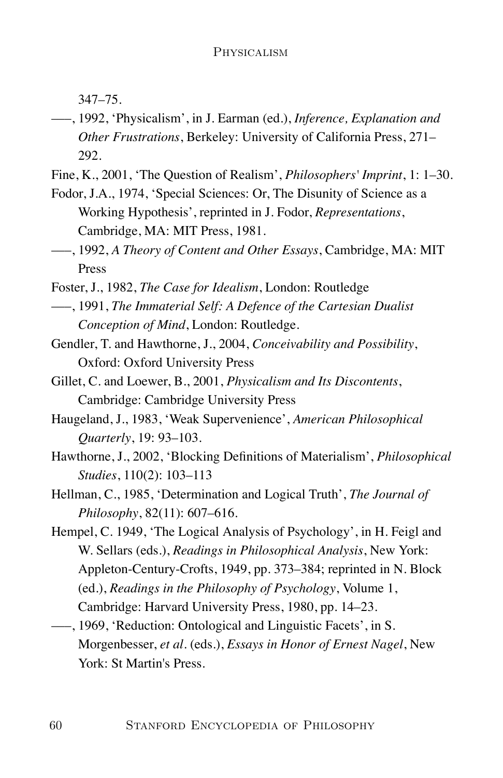347–75.

–––, 1992, 'Physicalism', in J. Earman (ed.), *Inference, Explanation and Other Frustrations*, Berkeley: University of California Press, 271– 292.

Fine, K., 2001, 'The Question of Realism', *Philosophers' Imprint*, 1: 1–30.

- Fodor, J.A., 1974, 'Special Sciences: Or, The Disunity of Science as a Working Hypothesis', reprinted in J. Fodor, *Representations*, Cambridge, MA: MIT Press, 1981.
- –––, 1992, *A Theory of Content and Other Essays*, Cambridge, MA: MIT Press
- Foster, J., 1982, *The Case for Idealism*, London: Routledge
- –––, 1991, *The Immaterial Self: A Defence of the Cartesian Dualist Conception of Mind*, London: Routledge.
- Gendler, T. and Hawthorne, J., 2004, *Conceivability and Possibility*, Oxford: Oxford University Press
- Gillet, C. and Loewer, B., 2001, *Physicalism and Its Discontents*, Cambridge: Cambridge University Press
- Haugeland, J., 1983, 'Weak Supervenience', *American Philosophical Quarterly*, 19: 93–103.
- Hawthorne, J., 2002, 'Blocking Definitions of Materialism', *Philosophical Studies*, 110(2): 103–113
- Hellman, C., 1985, 'Determination and Logical Truth', *The Journal of Philosophy*, 82(11): 607–616.
- Hempel, C. 1949, 'The Logical Analysis of Psychology', in H. Feigl and W. Sellars (eds.), *Readings in Philosophical Analysis*, New York: Appleton-Century-Crofts, 1949, pp. 373–384; reprinted in N. Block (ed.), *Readings in the Philosophy of Psychology*, Volume 1, Cambridge: Harvard University Press, 1980, pp. 14–23.
- –––, 1969, 'Reduction: Ontological and Linguistic Facets', in S. Morgenbesser, *et al*. (eds.), *Essays in Honor of Ernest Nagel*, New York: St Martin's Press.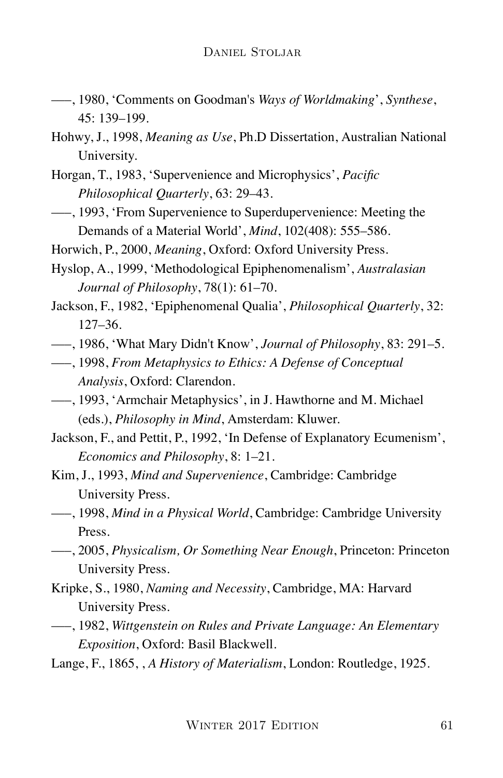- –––, 1980, 'Comments on Goodman's *Ways of Worldmaking*', *Synthese*, 45: 139–199.
- Hohwy, J., 1998, *Meaning as Use*, Ph.D Dissertation, Australian National University.
- Horgan, T., 1983, 'Supervenience and Microphysics', *Pacific Philosophical Quarterly*, 63: 29–43.
- –––, 1993, 'From Supervenience to Superdupervenience: Meeting the Demands of a Material World', *Mind*, 102(408): 555–586.
- Horwich, P., 2000, *Meaning*, Oxford: Oxford University Press.
- Hyslop, A., 1999, 'Methodological Epiphenomenalism', *Australasian Journal of Philosophy*, 78(1): 61–70.
- Jackson, F., 1982, 'Epiphenomenal Qualia', *Philosophical Quarterly*, 32: 127–36.
- –––, 1986, 'What Mary Didn't Know', *Journal of Philosophy*, 83: 291–5.
- –––, 1998, *From Metaphysics to Ethics: A Defense of Conceptual Analysis*, Oxford: Clarendon.
- –––, 1993, 'Armchair Metaphysics', in J. Hawthorne and M. Michael (eds.), *Philosophy in Mind*, Amsterdam: Kluwer.
- Jackson, F., and Pettit, P., 1992, 'In Defense of Explanatory Ecumenism', *Economics and Philosophy*, 8: 1–21.
- Kim, J., 1993, *Mind and Supervenience*, Cambridge: Cambridge University Press.
- –––, 1998, *Mind in a Physical World*, Cambridge: Cambridge University Press.
- –––, 2005, *Physicalism, Or Something Near Enough*, Princeton: Princeton University Press.
- Kripke, S., 1980, *Naming and Necessity*, Cambridge, MA: Harvard University Press.
- –––, 1982, *Wittgenstein on Rules and Private Language: An Elementary Exposition*, Oxford: Basil Blackwell.
- Lange, F., 1865, , *A History of Materialism*, London: Routledge, 1925.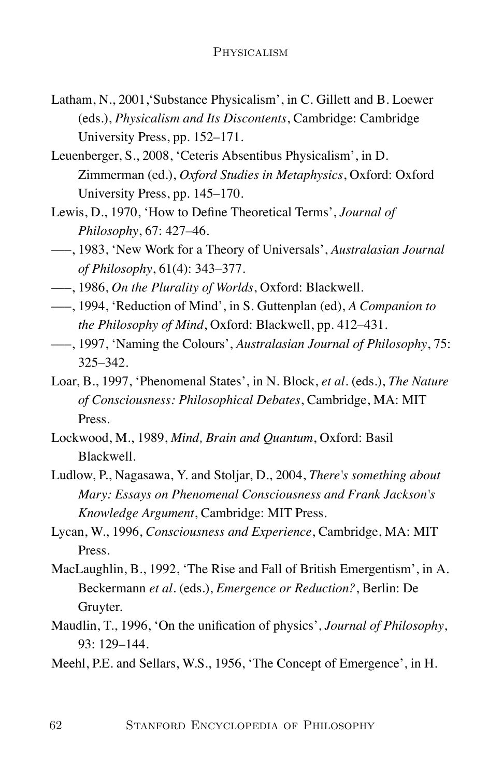- Latham, N., 2001,'Substance Physicalism', in C. Gillett and B. Loewer (eds.), *Physicalism and Its Discontents*, Cambridge: Cambridge University Press, pp. 152–171.
- Leuenberger, S., 2008, 'Ceteris Absentibus Physicalism', in D. Zimmerman (ed.), *Oxford Studies in Metaphysics*, Oxford: Oxford University Press, pp. 145–170.
- Lewis, D., 1970, 'How to Define Theoretical Terms', *Journal of Philosophy*, 67: 427–46.
- –––, 1983, 'New Work for a Theory of Universals', *Australasian Journal of Philosophy*, 61(4): 343–377.
- –––, 1986, *On the Plurality of Worlds*, Oxford: Blackwell.
- –––, 1994, 'Reduction of Mind', in S. Guttenplan (ed), *A Companion to the Philosophy of Mind*, Oxford: Blackwell, pp. 412–431.
- –––, 1997, 'Naming the Colours', *Australasian Journal of Philosophy*, 75: 325–342.
- Loar, B., 1997, 'Phenomenal States', in N. Block, *et al*. (eds.), *The Nature of Consciousness: Philosophical Debates*, Cambridge, MA: MIT Press.
- Lockwood, M., 1989, *Mind, Brain and Quantum*, Oxford: Basil Blackwell.
- Ludlow, P., Nagasawa, Y. and Stoljar, D., 2004, *There's something about Mary: Essays on Phenomenal Consciousness and Frank Jackson's Knowledge Argument*, Cambridge: MIT Press.
- Lycan, W., 1996, *Consciousness and Experience*, Cambridge, MA: MIT Press.
- MacLaughlin, B., 1992, 'The Rise and Fall of British Emergentism', in A. Beckermann *et al*. (eds.), *Emergence or Reduction?*, Berlin: De Gruyter.
- Maudlin, T., 1996, 'On the unification of physics', *Journal of Philosophy*, 93: 129–144.
- Meehl, P.E. and Sellars, W.S., 1956, 'The Concept of Emergence', in H.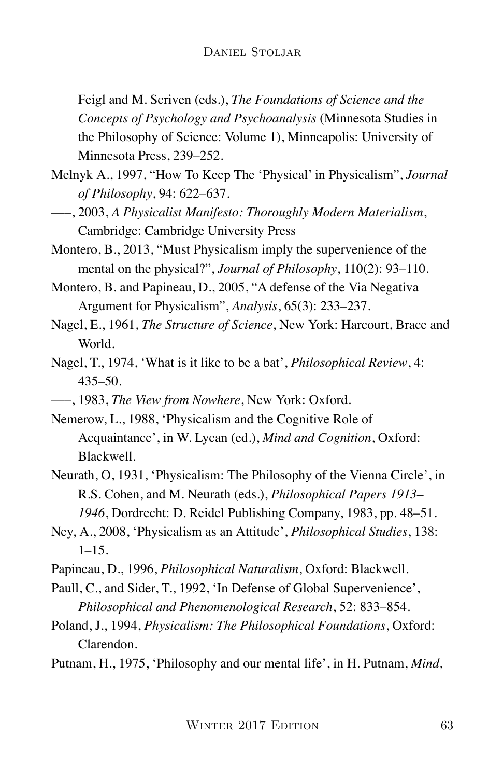Feigl and M. Scriven (eds.), *The Foundations of Science and the Concepts of Psychology and Psychoanalysis* (Minnesota Studies in the Philosophy of Science: Volume 1), Minneapolis: University of Minnesota Press, 239–252.

- Melnyk A., 1997, "How To Keep The 'Physical' in Physicalism", *Journal of Philosophy*, 94: 622–637.
- –––, 2003, *A Physicalist Manifesto: Thoroughly Modern Materialism*, Cambridge: Cambridge University Press
- Montero, B., 2013, "Must Physicalism imply the supervenience of the mental on the physical?", *Journal of Philosophy*, 110(2): 93–110.
- Montero, B. and Papineau, D., 2005, "A defense of the Via Negativa Argument for Physicalism", *Analysis*, 65(3): 233–237.
- Nagel, E., 1961, *The Structure of Science*, New York: Harcourt, Brace and World.
- Nagel, T., 1974, 'What is it like to be a bat', *Philosophical Review*, 4: 435–50.
- –––, 1983, *The View from Nowhere*, New York: Oxford.
- Nemerow, L., 1988, 'Physicalism and the Cognitive Role of Acquaintance', in W. Lycan (ed.), *Mind and Cognition*, Oxford: Blackwell.
- Neurath, O, 1931, 'Physicalism: The Philosophy of the Vienna Circle', in R.S. Cohen, and M. Neurath (eds.), *Philosophical Papers 1913– 1946*, Dordrecht: D. Reidel Publishing Company, 1983, pp. 48–51.
- Ney, A., 2008, 'Physicalism as an Attitude', *Philosophical Studies*, 138:  $1 - 15$ .
- Papineau, D., 1996, *Philosophical Naturalism*, Oxford: Blackwell.
- Paull, C., and Sider, T., 1992, 'In Defense of Global Supervenience', *Philosophical and Phenomenological Research*, 52: 833–854.
- Poland, J., 1994, *Physicalism: The Philosophical Foundations*, Oxford: Clarendon.
- Putnam, H., 1975, 'Philosophy and our mental life', in H. Putnam, *Mind,*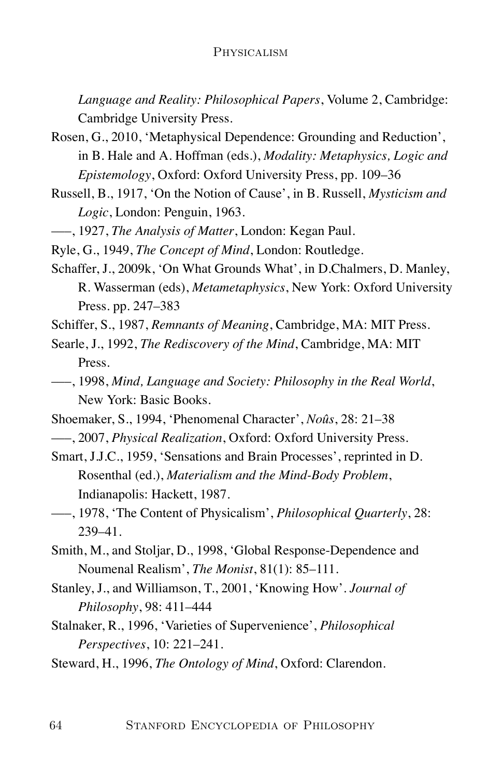*Language and Reality: Philosophical Papers*, Volume 2, Cambridge: Cambridge University Press.

- Rosen, G., 2010, 'Metaphysical Dependence: Grounding and Reduction', in B. Hale and A. Hoffman (eds.), *Modality: Metaphysics, Logic and Epistemology*, Oxford: Oxford University Press, pp. 109–36
- Russell, B., 1917, 'On the Notion of Cause', in B. Russell, *Mysticism and Logic*, London: Penguin, 1963.
- –––, 1927, *The Analysis of Matter*, London: Kegan Paul.
- Ryle, G., 1949, *The Concept of Mind*, London: Routledge.
- Schaffer, J., 2009k, 'On What Grounds What', in D.Chalmers, D. Manley, R. Wasserman (eds), *Metametaphysics*, New York: Oxford University Press. pp. 247–383
- Schiffer, S., 1987, *Remnants of Meaning*, Cambridge, MA: MIT Press.
- Searle, J., 1992, *The Rediscovery of the Mind*, Cambridge, MA: MIT Press.
- –––, 1998, *Mind, Language and Society: Philosophy in the Real World*, New York: Basic Books.
- Shoemaker, S., 1994, 'Phenomenal Character', *Noûs*, 28: 21–38
- –––, 2007, *Physical Realization*, Oxford: Oxford University Press.
- Smart, J.J.C., 1959, 'Sensations and Brain Processes', reprinted in D. Rosenthal (ed.), *Materialism and the Mind-Body Problem*, Indianapolis: Hackett, 1987.
- –––, 1978, 'The Content of Physicalism', *Philosophical Quarterly*, 28: 239–41.
- Smith, M., and Stoljar, D., 1998, 'Global Response-Dependence and Noumenal Realism', *The Monist*, 81(1): 85–111.
- Stanley, J., and Williamson, T., 2001, 'Knowing How'. *Journal of Philosophy*, 98: 411–444
- Stalnaker, R., 1996, 'Varieties of Supervenience', *Philosophical Perspectives*, 10: 221–241.
- Steward, H., 1996, *The Ontology of Mind*, Oxford: Clarendon.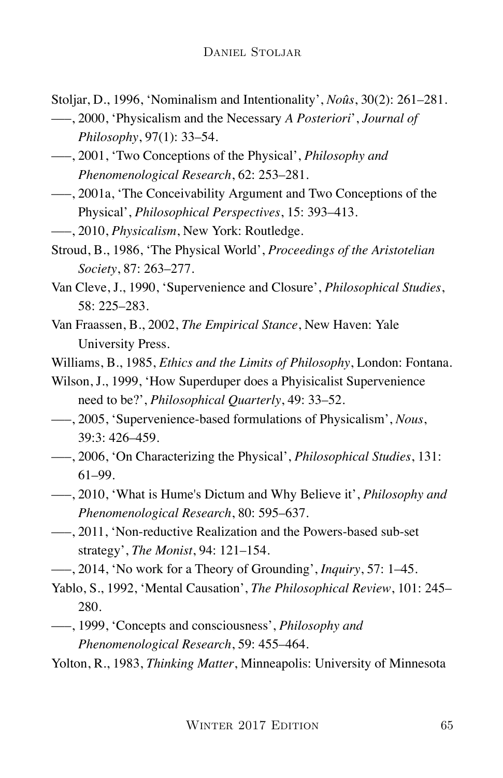- Stoljar, D., 1996, 'Nominalism and Intentionality', *Noûs*, 30(2): 261–281.
- –––, 2000, 'Physicalism and the Necessary *A Posteriori*', *Journal of Philosophy*, 97(1): 33–54.
- –––, 2001, 'Two Conceptions of the Physical', *Philosophy and Phenomenological Research*, 62: 253–281.
- –––, 2001a, 'The Conceivability Argument and Two Conceptions of the Physical', *Philosophical Perspectives*, 15: 393–413.
- –––, 2010, *Physicalism*, New York: Routledge.
- Stroud, B., 1986, 'The Physical World', *Proceedings of the Aristotelian Society*, 87: 263–277.
- Van Cleve, J., 1990, 'Supervenience and Closure', *Philosophical Studies*, 58: 225–283.
- Van Fraassen, B., 2002, *The Empirical Stance*, New Haven: Yale University Press.
- Williams, B., 1985, *Ethics and the Limits of Philosophy*, London: Fontana.
- Wilson, J., 1999, 'How Superduper does a Phyisicalist Supervenience need to be?', *Philosophical Quarterly*, 49: 33–52.
- –––, 2005, 'Supervenience-based formulations of Physicalism', *Nous*, 39:3: 426–459.
- –––, 2006, 'On Characterizing the Physical', *Philosophical Studies*, 131: 61–99.
- –––, 2010, 'What is Hume's Dictum and Why Believe it', *Philosophy and Phenomenological Research*, 80: 595–637.
- –––, 2011, 'Non-reductive Realization and the Powers-based sub-set strategy', *The Monist*, 94: 121–154.
- –––, 2014, 'No work for a Theory of Grounding', *Inquiry*, 57: 1–45.
- Yablo, S., 1992, 'Mental Causation', *The Philosophical Review*, 101: 245– 280.
- –––, 1999, 'Concepts and consciousness', *Philosophy and Phenomenological Research*, 59: 455–464.
- Yolton, R., 1983, *Thinking Matter*, Minneapolis: University of Minnesota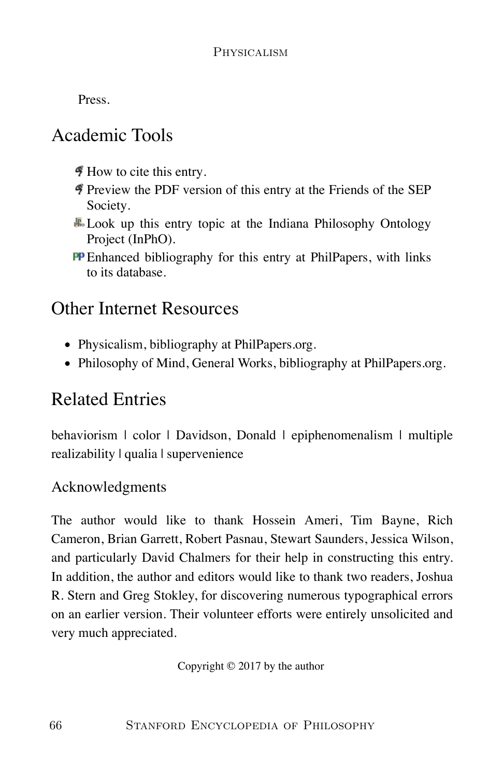Press.

# Academic Tools

- $$$  How to cite this entry.
- **P** Preview the PDF version of this entry at the Friends of the SEP Society.
- **Look** up this entry topic at the Indiana Philosophy Ontology Project (InPhO).
- **PP** Enhanced bibliography for this entry at PhilPapers, with links to its database.

# Other Internet Resources

- Physicalism, bibliography at PhilPapers.org.
- Philosophy of Mind, General Works, bibliography at PhilPapers.org.

# Related Entries

behaviorism | color | Davidson, Donald | epiphenomenalism | multiple realizability | qualia | supervenience

## Acknowledgments

The author would like to thank Hossein Ameri, Tim Bayne, Rich Cameron, Brian Garrett, Robert Pasnau, Stewart Saunders, Jessica Wilson, and particularly David Chalmers for their help in constructing this entry. In addition, the author and editors would like to thank two readers, Joshua R. Stern and Greg Stokley, for discovering numerous typographical errors on an earlier version. Their volunteer efforts were entirely unsolicited and very much appreciated.

Copyright © 2017 by the author